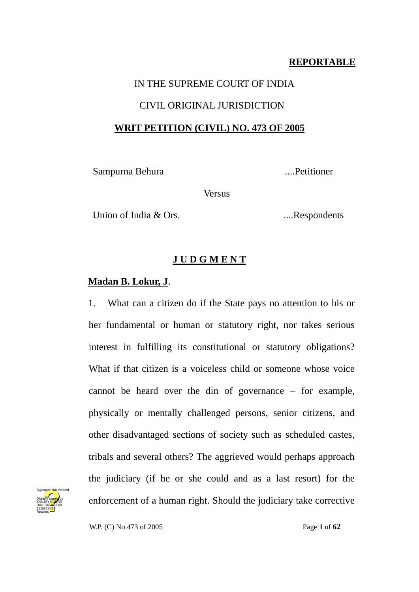### **REPORTABLE**

# IN THE SUPREME COURT OF INDIA CIVIL ORIGINAL JURISDICTION **WRIT PETITION (CIVIL) NO. 473 OF 2005**

Sampurna Behura ....Petitioner

**Versus** 

Union of India & Ors. ....Respondents

### **J U D G M E N T**

### **Madan B. Lokur, J**.

1. What can a citizen do if the State pays no attention to his or her fundamental or human or statutory right, nor takes serious interest in fulfilling its constitutional or statutory obligations? What if that citizen is a voiceless child or someone whose voice cannot be heard over the din of governance – for example, physically or mentally challenged persons, senior citizens, and other disadvantaged sections of society such as scheduled castes, tribals and several others? The aggrieved would perhaps approach the judiciary (if he or she could and as a last resort) for the enforcement of a human right. Should the judiciary take corrective



W.P. (C) No.473 of 2005 Page **1** of **62**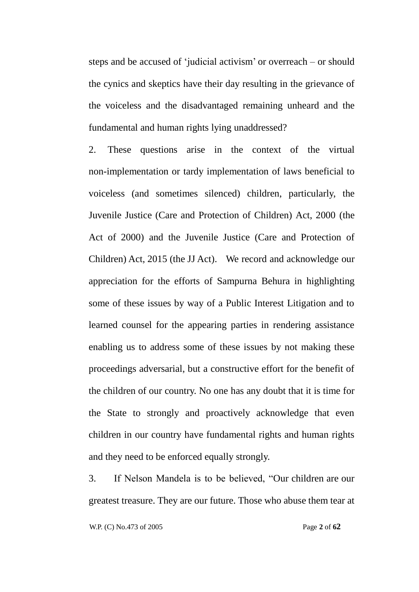steps and be accused of ‗judicial activism' or overreach – or should the cynics and skeptics have their day resulting in the grievance of the voiceless and the disadvantaged remaining unheard and the fundamental and human rights lying unaddressed?

2. These questions arise in the context of the virtual non-implementation or tardy implementation of laws beneficial to voiceless (and sometimes silenced) children, particularly, the Juvenile Justice (Care and Protection of Children) Act, 2000 (the Act of 2000) and the Juvenile Justice (Care and Protection of Children) Act, 2015 (the JJ Act). We record and acknowledge our appreciation for the efforts of Sampurna Behura in highlighting some of these issues by way of a Public Interest Litigation and to learned counsel for the appearing parties in rendering assistance enabling us to address some of these issues by not making these proceedings adversarial, but a constructive effort for the benefit of the children of our country. No one has any doubt that it is time for the State to strongly and proactively acknowledge that even children in our country have fundamental rights and human rights and they need to be enforced equally strongly.

3. If Nelson Mandela is to be believed, "Our children are our greatest treasure. They are our future. Those who abuse them tear at

W.P. (C) No.473 of 2005 Page **2** of **62**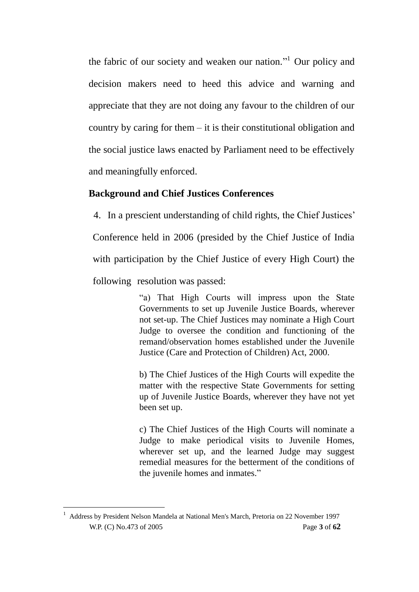the fabric of our society and weaken our nation."<sup>1</sup> Our policy and decision makers need to heed this advice and warning and appreciate that they are not doing any favour to the children of our country by caring for them – it is their constitutional obligation and the social justice laws enacted by Parliament need to be effectively and meaningfully enforced.

### **Background and Chief Justices Conferences**

4. In a prescient understanding of child rights, the Chief Justices' Conference held in 2006 (presided by the Chief Justice of India with participation by the Chief Justice of every High Court) the following resolution was passed:

> ―a) That High Courts will impress upon the State Governments to set up Juvenile Justice Boards, wherever not set-up. The Chief Justices may nominate a High Court Judge to oversee the condition and functioning of the remand/observation homes established under the Juvenile Justice (Care and Protection of Children) Act, 2000.

> b) The Chief Justices of the High Courts will expedite the matter with the respective State Governments for setting up of Juvenile Justice Boards, wherever they have not yet been set up.

> c) The Chief Justices of the High Courts will nominate a Judge to make periodical visits to Juvenile Homes, wherever set up, and the learned Judge may suggest remedial measures for the betterment of the conditions of the juvenile homes and inmates."

-

W.P. (C) No.473 of 2005 Page **3** of **62** <sup>1</sup> Address by President Nelson Mandela at National Men's March, Pretoria on 22 November 1997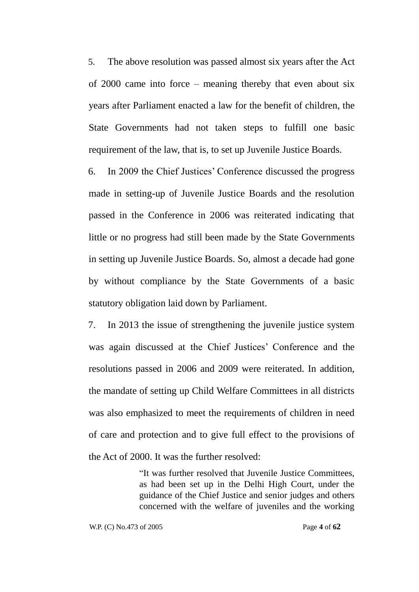5. The above resolution was passed almost six years after the Act of 2000 came into force – meaning thereby that even about six years after Parliament enacted a law for the benefit of children, the State Governments had not taken steps to fulfill one basic requirement of the law, that is, to set up Juvenile Justice Boards.

6. In 2009 the Chief Justices' Conference discussed the progress made in setting-up of Juvenile Justice Boards and the resolution passed in the Conference in 2006 was reiterated indicating that little or no progress had still been made by the State Governments in setting up Juvenile Justice Boards. So, almost a decade had gone by without compliance by the State Governments of a basic statutory obligation laid down by Parliament.

7. In 2013 the issue of strengthening the juvenile justice system was again discussed at the Chief Justices' Conference and the resolutions passed in 2006 and 2009 were reiterated. In addition, the mandate of setting up Child Welfare Committees in all districts was also emphasized to meet the requirements of children in need of care and protection and to give full effect to the provisions of the Act of 2000. It was the further resolved:

> "It was further resolved that Juvenile Justice Committees, as had been set up in the Delhi High Court, under the guidance of the Chief Justice and senior judges and others concerned with the welfare of juveniles and the working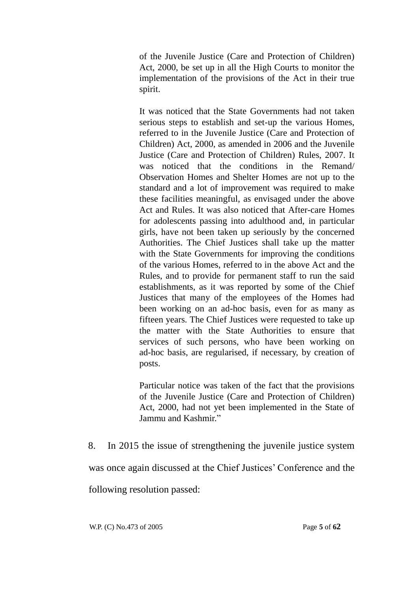of the Juvenile Justice (Care and Protection of Children) Act, 2000, be set up in all the High Courts to monitor the implementation of the provisions of the Act in their true spirit.

It was noticed that the State Governments had not taken serious steps to establish and set-up the various Homes, referred to in the Juvenile Justice (Care and Protection of Children) Act, 2000, as amended in 2006 and the Juvenile Justice (Care and Protection of Children) Rules, 2007. It was noticed that the conditions in the Remand/ Observation Homes and Shelter Homes are not up to the standard and a lot of improvement was required to make these facilities meaningful, as envisaged under the above Act and Rules. It was also noticed that After-care Homes for adolescents passing into adulthood and, in particular girls, have not been taken up seriously by the concerned Authorities. The Chief Justices shall take up the matter with the State Governments for improving the conditions of the various Homes, referred to in the above Act and the Rules, and to provide for permanent staff to run the said establishments, as it was reported by some of the Chief Justices that many of the employees of the Homes had been working on an ad-hoc basis, even for as many as fifteen years. The Chief Justices were requested to take up the matter with the State Authorities to ensure that services of such persons, who have been working on ad-hoc basis, are regularised, if necessary, by creation of posts.

Particular notice was taken of the fact that the provisions of the Juvenile Justice (Care and Protection of Children) Act, 2000, had not yet been implemented in the State of Jammu and Kashmir."

8. In 2015 the issue of strengthening the juvenile justice system was once again discussed at the Chief Justices' Conference and the following resolution passed:

W.P. (C) No.473 of 2005 Page **5** of **62**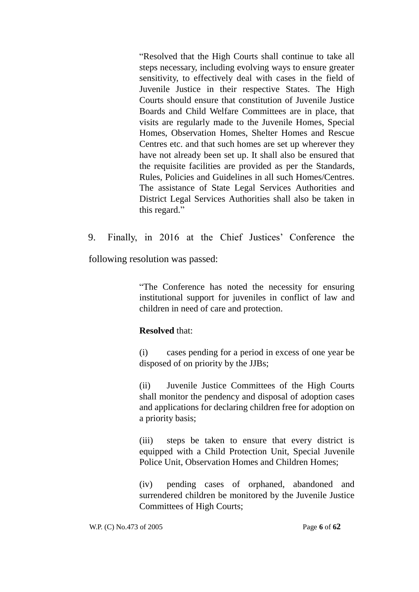―Resolved that the High Courts shall continue to take all steps necessary, including evolving ways to ensure greater sensitivity, to effectively deal with cases in the field of Juvenile Justice in their respective States. The High Courts should ensure that constitution of Juvenile Justice Boards and Child Welfare Committees are in place, that visits are regularly made to the Juvenile Homes, Special Homes, Observation Homes, Shelter Homes and Rescue Centres etc. and that such homes are set up wherever they have not already been set up. It shall also be ensured that the requisite facilities are provided as per the Standards, Rules, Policies and Guidelines in all such Homes/Centres. The assistance of State Legal Services Authorities and District Legal Services Authorities shall also be taken in this regard."

9. Finally, in 2016 at the Chief Justices' Conference the

following resolution was passed:

―The Conference has noted the necessity for ensuring institutional support for juveniles in conflict of law and children in need of care and protection.

### **Resolved** that:

(i) cases pending for a period in excess of one year be disposed of on priority by the JJBs;

(ii) Juvenile Justice Committees of the High Courts shall monitor the pendency and disposal of adoption cases and applications for declaring children free for adoption on a priority basis;

(iii) steps be taken to ensure that every district is equipped with a Child Protection Unit, Special Juvenile Police Unit, Observation Homes and Children Homes;

(iv) pending cases of orphaned, abandoned and surrendered children be monitored by the Juvenile Justice Committees of High Courts;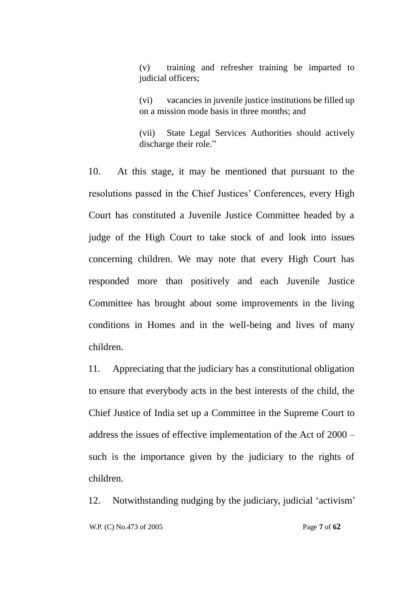(v) training and refresher training be imparted to judicial officers;

(vi) vacancies in juvenile justice institutions be filled up on a mission mode basis in three months; and

(vii) State Legal Services Authorities should actively discharge their role."

10. At this stage, it may be mentioned that pursuant to the resolutions passed in the Chief Justices' Conferences, every High Court has constituted a Juvenile Justice Committee headed by a judge of the High Court to take stock of and look into issues concerning children. We may note that every High Court has responded more than positively and each Juvenile Justice Committee has brought about some improvements in the living conditions in Homes and in the well-being and lives of many children.

11. Appreciating that the judiciary has a constitutional obligation to ensure that everybody acts in the best interests of the child, the Chief Justice of India set up a Committee in the Supreme Court to address the issues of effective implementation of the Act of 2000 – such is the importance given by the judiciary to the rights of children.

 W.P. (C) No.473 of 2005 Page **7** of **62** 12. Notwithstanding nudging by the judiciary, judicial ‗activism'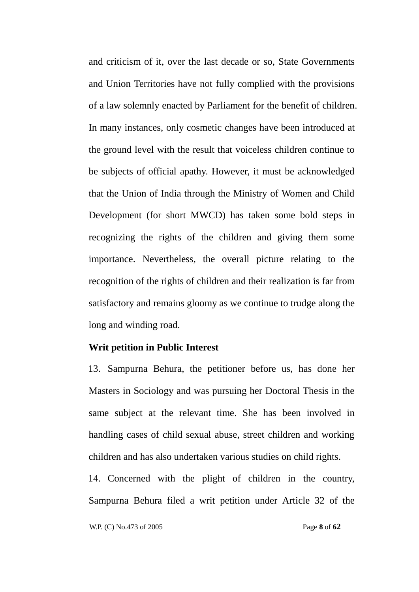and criticism of it, over the last decade or so, State Governments and Union Territories have not fully complied with the provisions of a law solemnly enacted by Parliament for the benefit of children. In many instances, only cosmetic changes have been introduced at the ground level with the result that voiceless children continue to be subjects of official apathy. However, it must be acknowledged that the Union of India through the Ministry of Women and Child Development (for short MWCD) has taken some bold steps in recognizing the rights of the children and giving them some importance. Nevertheless, the overall picture relating to the recognition of the rights of children and their realization is far from satisfactory and remains gloomy as we continue to trudge along the long and winding road.

### **Writ petition in Public Interest**

13. Sampurna Behura, the petitioner before us, has done her Masters in Sociology and was pursuing her Doctoral Thesis in the same subject at the relevant time. She has been involved in handling cases of child sexual abuse, street children and working children and has also undertaken various studies on child rights.

14. Concerned with the plight of children in the country, Sampurna Behura filed a writ petition under Article 32 of the

W.P. (C) No.473 of 2005 Page **8** of **62**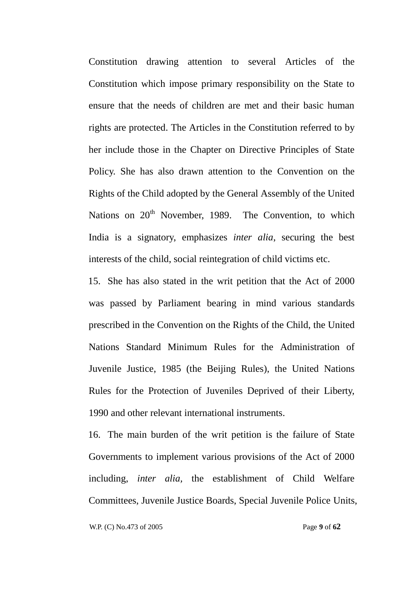Constitution drawing attention to several Articles of the Constitution which impose primary responsibility on the State to ensure that the needs of children are met and their basic human rights are protected. The Articles in the Constitution referred to by her include those in the Chapter on Directive Principles of State Policy. She has also drawn attention to the Convention on the Rights of the Child adopted by the General Assembly of the United Nations on  $20<sup>th</sup>$  November, 1989. The Convention, to which India is a signatory, emphasizes *inter alia*, securing the best interests of the child, social reintegration of child victims etc.

15. She has also stated in the writ petition that the Act of 2000 was passed by Parliament bearing in mind various standards prescribed in the Convention on the Rights of the Child, the United Nations Standard Minimum Rules for the Administration of Juvenile Justice, 1985 (the Beijing Rules), the United Nations Rules for the Protection of Juveniles Deprived of their Liberty, 1990 and other relevant international instruments.

16. The main burden of the writ petition is the failure of State Governments to implement various provisions of the Act of 2000 including, *inter alia,* the establishment of Child Welfare Committees, Juvenile Justice Boards, Special Juvenile Police Units,

W.P. (C) No.473 of 2005 Page **9** of **62**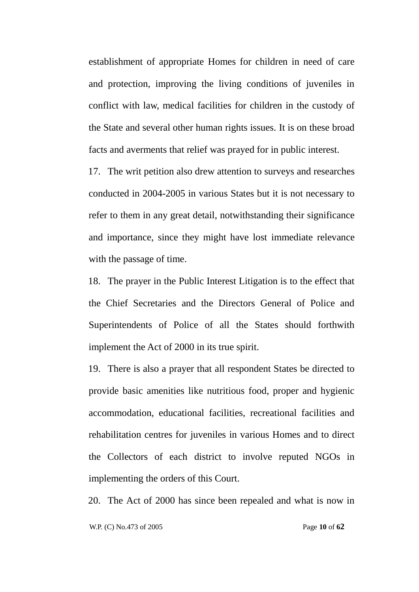establishment of appropriate Homes for children in need of care and protection, improving the living conditions of juveniles in conflict with law, medical facilities for children in the custody of the State and several other human rights issues. It is on these broad facts and averments that relief was prayed for in public interest.

17. The writ petition also drew attention to surveys and researches conducted in 2004-2005 in various States but it is not necessary to refer to them in any great detail, notwithstanding their significance and importance, since they might have lost immediate relevance with the passage of time.

18. The prayer in the Public Interest Litigation is to the effect that the Chief Secretaries and the Directors General of Police and Superintendents of Police of all the States should forthwith implement the Act of 2000 in its true spirit.

19. There is also a prayer that all respondent States be directed to provide basic amenities like nutritious food, proper and hygienic accommodation, educational facilities, recreational facilities and rehabilitation centres for juveniles in various Homes and to direct the Collectors of each district to involve reputed NGOs in implementing the orders of this Court.

20. The Act of 2000 has since been repealed and what is now in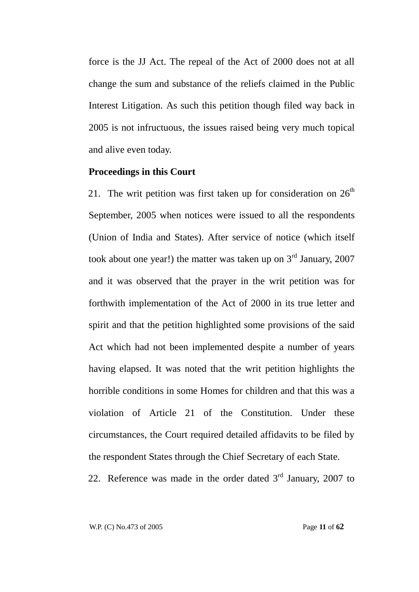force is the JJ Act. The repeal of the Act of 2000 does not at all change the sum and substance of the reliefs claimed in the Public Interest Litigation. As such this petition though filed way back in 2005 is not infructuous, the issues raised being very much topical and alive even today.

### **Proceedings in this Court**

21. The writ petition was first taken up for consideration on  $26<sup>th</sup>$ September, 2005 when notices were issued to all the respondents (Union of India and States). After service of notice (which itself took about one year!) the matter was taken up on  $3<sup>rd</sup>$  January, 2007 and it was observed that the prayer in the writ petition was for forthwith implementation of the Act of 2000 in its true letter and spirit and that the petition highlighted some provisions of the said Act which had not been implemented despite a number of years having elapsed. It was noted that the writ petition highlights the horrible conditions in some Homes for children and that this was a violation of Article 21 of the Constitution. Under these circumstances, the Court required detailed affidavits to be filed by the respondent States through the Chief Secretary of each State.

22. Reference was made in the order dated  $3<sup>rd</sup>$  January, 2007 to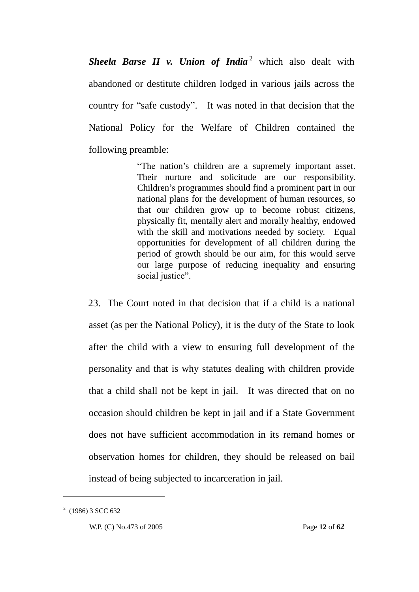**Sheela Barse II** v. Union of India<sup>2</sup> which also dealt with abandoned or destitute children lodged in various jails across the country for "safe custody". It was noted in that decision that the National Policy for the Welfare of Children contained the following preamble:

> ―The nation's children are a supremely important asset. Their nurture and solicitude are our responsibility. Children's programmes should find a prominent part in our national plans for the development of human resources, so that our children grow up to become robust citizens, physically fit, mentally alert and morally healthy, endowed with the skill and motivations needed by society. Equal opportunities for development of all children during the period of growth should be our aim, for this would serve our large purpose of reducing inequality and ensuring social justice".

23. The Court noted in that decision that if a child is a national asset (as per the National Policy), it is the duty of the State to look after the child with a view to ensuring full development of the personality and that is why statutes dealing with children provide that a child shall not be kept in jail. It was directed that on no occasion should children be kept in jail and if a State Government does not have sufficient accommodation in its remand homes or observation homes for children, they should be released on bail instead of being subjected to incarceration in jail.

<u>.</u>

 $2(1986)$  3 SCC 632

W.P. (C) No.473 of 2005 Page **12** of **62**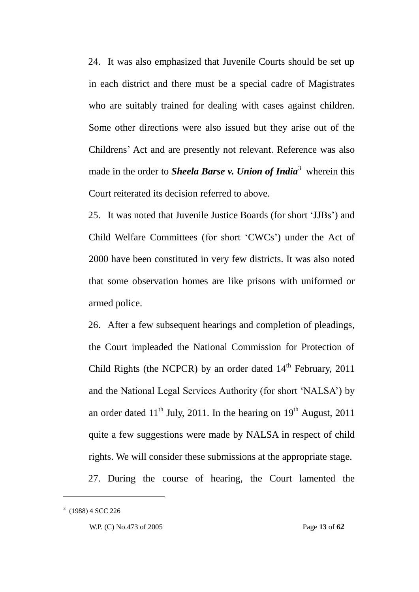24. It was also emphasized that Juvenile Courts should be set up in each district and there must be a special cadre of Magistrates who are suitably trained for dealing with cases against children. Some other directions were also issued but they arise out of the Childrens' Act and are presently not relevant. Reference was also made in the order to *Sheela Barse v. Union of India*<sup>3</sup> wherein this Court reiterated its decision referred to above.

25. It was noted that Juvenile Justice Boards (for short ‗JJBs') and Child Welfare Committees (for short 'CWCs') under the Act of 2000 have been constituted in very few districts. It was also noted that some observation homes are like prisons with uniformed or armed police.

26. After a few subsequent hearings and completion of pleadings, the Court impleaded the National Commission for Protection of Child Rights (the NCPCR) by an order dated  $14<sup>th</sup>$  February, 2011 and the National Legal Services Authority (for short 'NALSA') by an order dated  $11<sup>th</sup>$  July, 2011. In the hearing on  $19<sup>th</sup>$  August, 2011 quite a few suggestions were made by NALSA in respect of child rights. We will consider these submissions at the appropriate stage.

27. During the course of hearing, the Court lamented the

<u>.</u>

 $3$  (1988) 4 SCC 226

W.P. (C) No.473 of 2005 Page **13** of **62**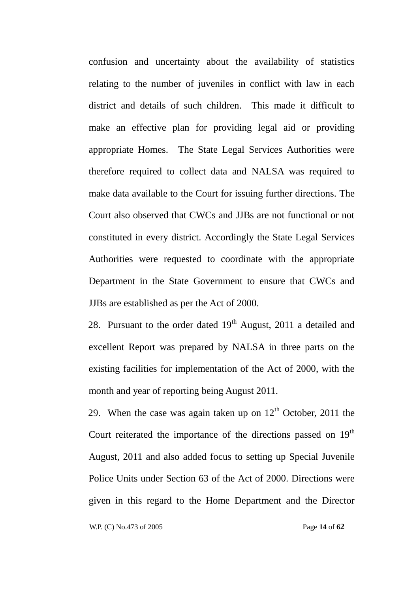confusion and uncertainty about the availability of statistics relating to the number of juveniles in conflict with law in each district and details of such children. This made it difficult to make an effective plan for providing legal aid or providing appropriate Homes. The State Legal Services Authorities were therefore required to collect data and NALSA was required to make data available to the Court for issuing further directions. The Court also observed that CWCs and JJBs are not functional or not constituted in every district. Accordingly the State Legal Services Authorities were requested to coordinate with the appropriate Department in the State Government to ensure that CWCs and JJBs are established as per the Act of 2000.

28. Pursuant to the order dated  $19<sup>th</sup>$  August, 2011 a detailed and excellent Report was prepared by NALSA in three parts on the existing facilities for implementation of the Act of 2000, with the month and year of reporting being August 2011.

29. When the case was again taken up on  $12<sup>th</sup>$  October, 2011 the Court reiterated the importance of the directions passed on  $19<sup>th</sup>$ August, 2011 and also added focus to setting up Special Juvenile Police Units under Section 63 of the Act of 2000. Directions were given in this regard to the Home Department and the Director

W.P. (C) No.473 of 2005 Page **14** of **62**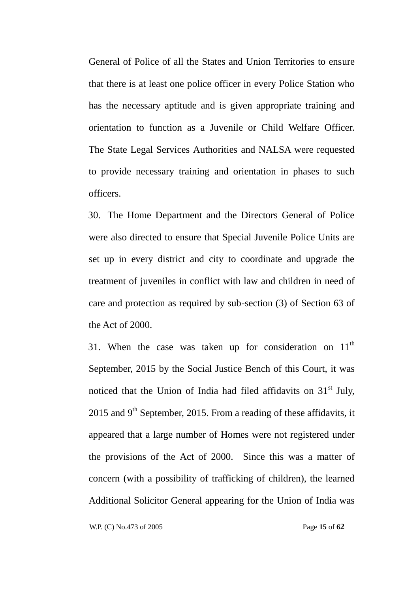General of Police of all the States and Union Territories to ensure that there is at least one police officer in every Police Station who has the necessary aptitude and is given appropriate training and orientation to function as a Juvenile or Child Welfare Officer. The State Legal Services Authorities and NALSA were requested to provide necessary training and orientation in phases to such officers.

30. The Home Department and the Directors General of Police were also directed to ensure that Special Juvenile Police Units are set up in every district and city to coordinate and upgrade the treatment of juveniles in conflict with law and children in need of care and protection as required by sub-section (3) of Section 63 of the Act of 2000.

31. When the case was taken up for consideration on  $11<sup>th</sup>$ September, 2015 by the Social Justice Bench of this Court, it was noticed that the Union of India had filed affidavits on  $31<sup>st</sup>$  July, 2015 and  $9<sup>th</sup>$  September, 2015. From a reading of these affidavits, it appeared that a large number of Homes were not registered under the provisions of the Act of 2000. Since this was a matter of concern (with a possibility of trafficking of children), the learned Additional Solicitor General appearing for the Union of India was

W.P. (C) No.473 of 2005 Page **15** of **62**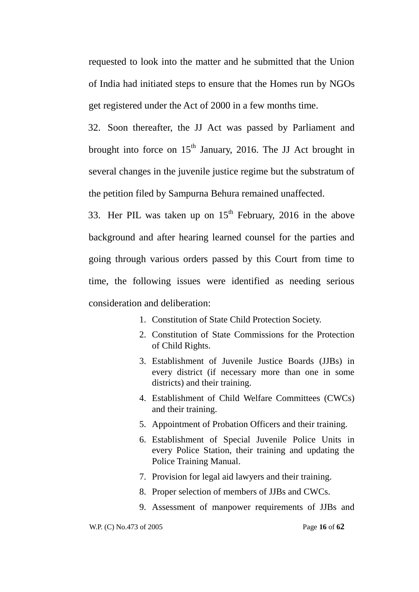requested to look into the matter and he submitted that the Union of India had initiated steps to ensure that the Homes run by NGOs get registered under the Act of 2000 in a few months time.

32. Soon thereafter, the JJ Act was passed by Parliament and brought into force on  $15<sup>th</sup>$  January, 2016. The JJ Act brought in several changes in the juvenile justice regime but the substratum of the petition filed by Sampurna Behura remained unaffected.

33. Her PIL was taken up on  $15<sup>th</sup>$  February, 2016 in the above background and after hearing learned counsel for the parties and going through various orders passed by this Court from time to time, the following issues were identified as needing serious consideration and deliberation:

- 1. Constitution of State Child Protection Society.
- 2. Constitution of State Commissions for the Protection of Child Rights.
- 3. Establishment of Juvenile Justice Boards (JJBs) in every district (if necessary more than one in some districts) and their training.
- 4. Establishment of Child Welfare Committees (CWCs) and their training.
- 5. Appointment of Probation Officers and their training.
- 6. Establishment of Special Juvenile Police Units in every Police Station, their training and updating the Police Training Manual.
- 7. Provision for legal aid lawyers and their training.
- 8. Proper selection of members of JJBs and CWCs.
- 9. Assessment of manpower requirements of JJBs and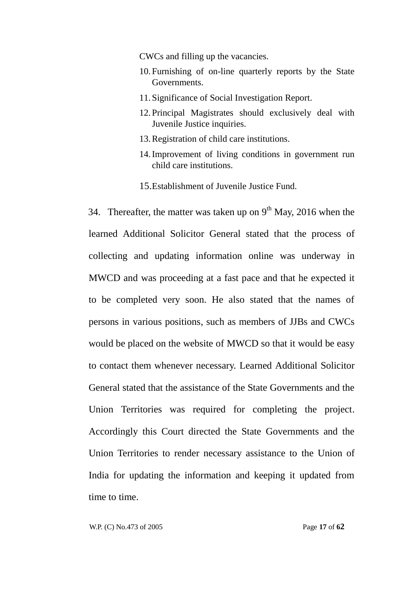CWCs and filling up the vacancies.

- 10.Furnishing of on-line quarterly reports by the State Governments.
- 11.Significance of Social Investigation Report.
- 12.Principal Magistrates should exclusively deal with Juvenile Justice inquiries.
- 13.Registration of child care institutions.
- 14.Improvement of living conditions in government run child care institutions.
- 15.Establishment of Juvenile Justice Fund.

34. Thereafter, the matter was taken up on  $9<sup>th</sup>$  May, 2016 when the learned Additional Solicitor General stated that the process of collecting and updating information online was underway in MWCD and was proceeding at a fast pace and that he expected it to be completed very soon. He also stated that the names of persons in various positions, such as members of JJBs and CWCs would be placed on the website of MWCD so that it would be easy to contact them whenever necessary. Learned Additional Solicitor General stated that the assistance of the State Governments and the Union Territories was required for completing the project. Accordingly this Court directed the State Governments and the Union Territories to render necessary assistance to the Union of India for updating the information and keeping it updated from time to time.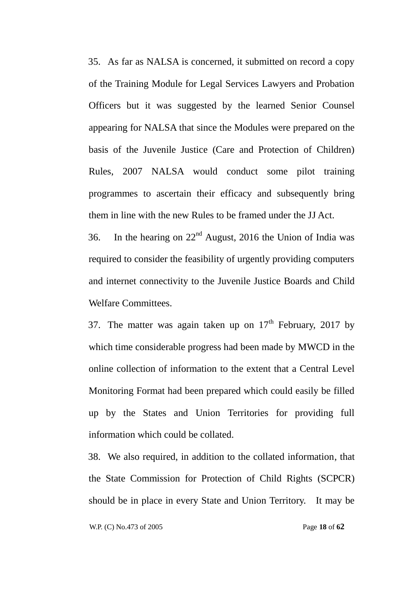35. As far as NALSA is concerned, it submitted on record a copy of the Training Module for Legal Services Lawyers and Probation Officers but it was suggested by the learned Senior Counsel appearing for NALSA that since the Modules were prepared on the basis of the Juvenile Justice (Care and Protection of Children) Rules, 2007 NALSA would conduct some pilot training programmes to ascertain their efficacy and subsequently bring them in line with the new Rules to be framed under the JJ Act.

36. In the hearing on  $22<sup>nd</sup>$  August, 2016 the Union of India was required to consider the feasibility of urgently providing computers and internet connectivity to the Juvenile Justice Boards and Child Welfare Committees.

37. The matter was again taken up on  $17<sup>th</sup>$  February, 2017 by which time considerable progress had been made by MWCD in the online collection of information to the extent that a Central Level Monitoring Format had been prepared which could easily be filled up by the States and Union Territories for providing full information which could be collated.

38. We also required, in addition to the collated information, that the State Commission for Protection of Child Rights (SCPCR) should be in place in every State and Union Territory. It may be

W.P. (C) No.473 of 2005 Page **18** of **62**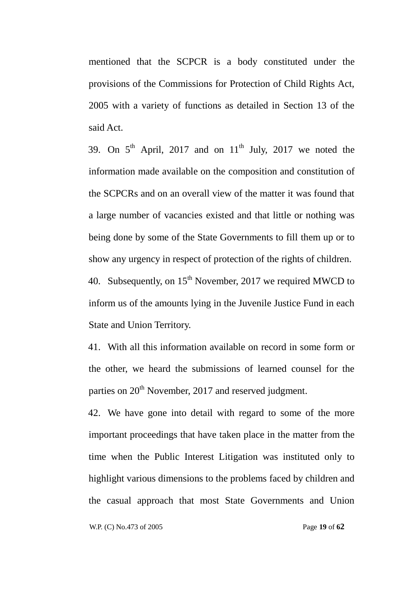mentioned that the SCPCR is a body constituted under the provisions of the Commissions for Protection of Child Rights Act, 2005 with a variety of functions as detailed in Section 13 of the said Act.

39. On  $5<sup>th</sup>$  April, 2017 and on  $11<sup>th</sup>$  July, 2017 we noted the information made available on the composition and constitution of the SCPCRs and on an overall view of the matter it was found that a large number of vacancies existed and that little or nothing was being done by some of the State Governments to fill them up or to show any urgency in respect of protection of the rights of children.

40. Subsequently, on  $15<sup>th</sup>$  November, 2017 we required MWCD to inform us of the amounts lying in the Juvenile Justice Fund in each State and Union Territory.

41. With all this information available on record in some form or the other, we heard the submissions of learned counsel for the parties on  $20<sup>th</sup>$  November, 2017 and reserved judgment.

42. We have gone into detail with regard to some of the more important proceedings that have taken place in the matter from the time when the Public Interest Litigation was instituted only to highlight various dimensions to the problems faced by children and the casual approach that most State Governments and Union

W.P. (C) No.473 of 2005 Page **19** of **62**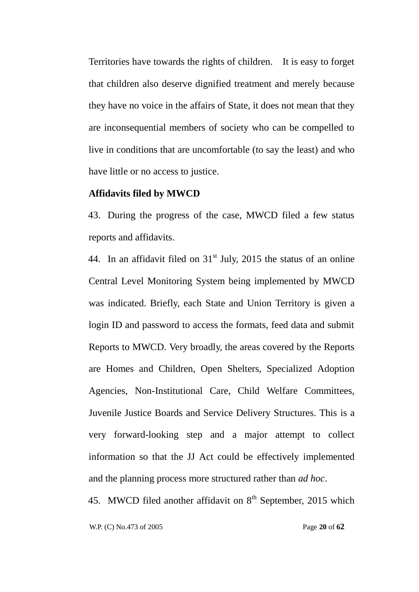Territories have towards the rights of children. It is easy to forget that children also deserve dignified treatment and merely because they have no voice in the affairs of State, it does not mean that they are inconsequential members of society who can be compelled to live in conditions that are uncomfortable (to say the least) and who have little or no access to justice.

#### **Affidavits filed by MWCD**

43. During the progress of the case, MWCD filed a few status reports and affidavits.

44. In an affidavit filed on  $31<sup>st</sup>$  July, 2015 the status of an online Central Level Monitoring System being implemented by MWCD was indicated. Briefly, each State and Union Territory is given a login ID and password to access the formats, feed data and submit Reports to MWCD. Very broadly, the areas covered by the Reports are Homes and Children, Open Shelters, Specialized Adoption Agencies, Non-Institutional Care, Child Welfare Committees, Juvenile Justice Boards and Service Delivery Structures. This is a very forward-looking step and a major attempt to collect information so that the JJ Act could be effectively implemented and the planning process more structured rather than *ad hoc*.

45. MWCD filed another affidavit on  $8<sup>th</sup>$  September, 2015 which

W.P. (C) No.473 of 2005 Page **20** of **62**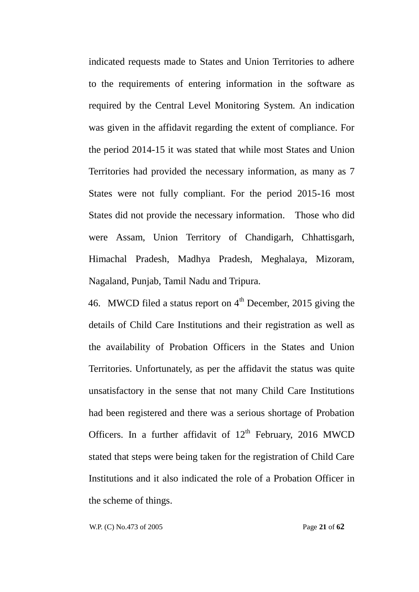indicated requests made to States and Union Territories to adhere to the requirements of entering information in the software as required by the Central Level Monitoring System. An indication was given in the affidavit regarding the extent of compliance. For the period 2014-15 it was stated that while most States and Union Territories had provided the necessary information, as many as 7 States were not fully compliant. For the period 2015-16 most States did not provide the necessary information. Those who did were Assam, Union Territory of Chandigarh, Chhattisgarh, Himachal Pradesh, Madhya Pradesh, Meghalaya, Mizoram, Nagaland, Punjab, Tamil Nadu and Tripura.

46. MWCD filed a status report on  $4<sup>th</sup>$  December, 2015 giving the details of Child Care Institutions and their registration as well as the availability of Probation Officers in the States and Union Territories. Unfortunately, as per the affidavit the status was quite unsatisfactory in the sense that not many Child Care Institutions had been registered and there was a serious shortage of Probation Officers. In a further affidavit of  $12<sup>th</sup>$  February, 2016 MWCD stated that steps were being taken for the registration of Child Care Institutions and it also indicated the role of a Probation Officer in the scheme of things.

W.P. (C) No.473 of 2005 Page **21** of **62**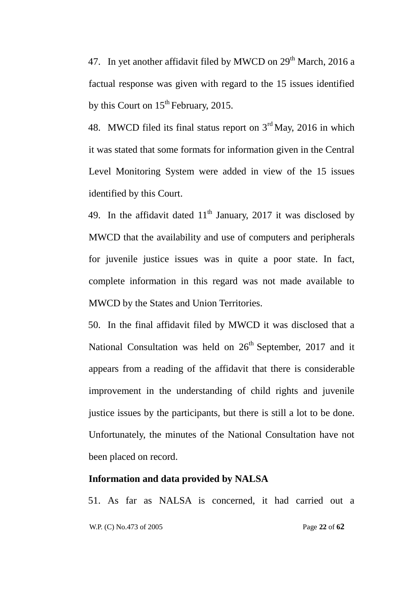47. In yet another affidavit filed by MWCD on  $29<sup>th</sup>$  March, 2016 a factual response was given with regard to the 15 issues identified by this Court on 15<sup>th</sup> February, 2015.

48. MWCD filed its final status report on  $3<sup>rd</sup>$  May, 2016 in which it was stated that some formats for information given in the Central Level Monitoring System were added in view of the 15 issues identified by this Court.

49. In the affidavit dated  $11<sup>th</sup>$  January, 2017 it was disclosed by MWCD that the availability and use of computers and peripherals for juvenile justice issues was in quite a poor state. In fact, complete information in this regard was not made available to MWCD by the States and Union Territories.

50. In the final affidavit filed by MWCD it was disclosed that a National Consultation was held on  $26<sup>th</sup>$  September, 2017 and it appears from a reading of the affidavit that there is considerable improvement in the understanding of child rights and juvenile justice issues by the participants, but there is still a lot to be done. Unfortunately, the minutes of the National Consultation have not been placed on record.

### **Information and data provided by NALSA**

 W.P. (C) No.473 of 2005 Page **22** of **62** 51. As far as NALSA is concerned, it had carried out a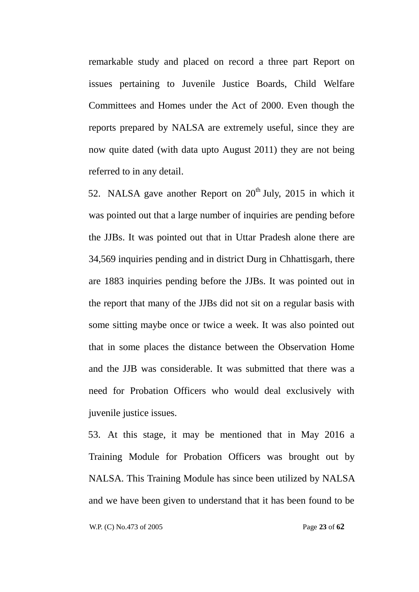remarkable study and placed on record a three part Report on issues pertaining to Juvenile Justice Boards, Child Welfare Committees and Homes under the Act of 2000. Even though the reports prepared by NALSA are extremely useful, since they are now quite dated (with data upto August 2011) they are not being referred to in any detail.

52. NALSA gave another Report on  $20<sup>th</sup>$  July, 2015 in which it was pointed out that a large number of inquiries are pending before the JJBs. It was pointed out that in Uttar Pradesh alone there are 34,569 inquiries pending and in district Durg in Chhattisgarh, there are 1883 inquiries pending before the JJBs. It was pointed out in the report that many of the JJBs did not sit on a regular basis with some sitting maybe once or twice a week. It was also pointed out that in some places the distance between the Observation Home and the JJB was considerable. It was submitted that there was a need for Probation Officers who would deal exclusively with juvenile justice issues.

53. At this stage, it may be mentioned that in May 2016 a Training Module for Probation Officers was brought out by NALSA. This Training Module has since been utilized by NALSA and we have been given to understand that it has been found to be

W.P. (C) No.473 of 2005 Page **23** of **62**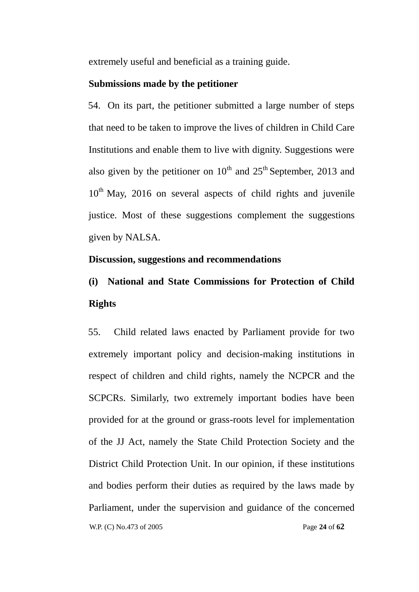extremely useful and beneficial as a training guide.

### **Submissions made by the petitioner**

54. On its part, the petitioner submitted a large number of steps that need to be taken to improve the lives of children in Child Care Institutions and enable them to live with dignity. Suggestions were also given by the petitioner on  $10^{th}$  and  $25^{th}$  September, 2013 and  $10<sup>th</sup>$  May, 2016 on several aspects of child rights and juvenile justice. Most of these suggestions complement the suggestions given by NALSA.

### **Discussion, suggestions and recommendations**

# **(i) National and State Commissions for Protection of Child Rights**

 W.P. (C) No.473 of 2005 Page **24** of **62** 55. Child related laws enacted by Parliament provide for two extremely important policy and decision-making institutions in respect of children and child rights, namely the NCPCR and the SCPCRs. Similarly, two extremely important bodies have been provided for at the ground or grass-roots level for implementation of the JJ Act, namely the State Child Protection Society and the District Child Protection Unit. In our opinion, if these institutions and bodies perform their duties as required by the laws made by Parliament, under the supervision and guidance of the concerned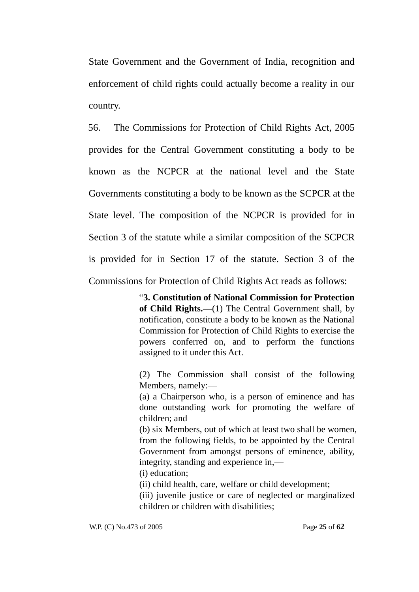State Government and the Government of India, recognition and enforcement of child rights could actually become a reality in our country.

56. The Commissions for Protection of Child Rights Act, 2005 provides for the Central Government constituting a body to be known as the NCPCR at the national level and the State Governments constituting a body to be known as the SCPCR at the State level. The composition of the NCPCR is provided for in Section 3 of the statute while a similar composition of the SCPCR is provided for in Section 17 of the statute. Section 3 of the Commissions for Protection of Child Rights Act reads as follows:

> ―**3. Constitution of National Commission for Protection of Child Rights.—**(1) The Central Government shall, by notification, constitute a body to be known as the National Commission for Protection of Child Rights to exercise the powers conferred on, and to perform the functions assigned to it under this Act.

> (2) The Commission shall consist of the following Members, namely:—

> (a) a Chairperson who, is a person of eminence and has done outstanding work for promoting the welfare of children; and

> (b) six Members, out of which at least two shall be women, from the following fields, to be appointed by the Central Government from amongst persons of eminence, ability, integrity, standing and experience in,—

(i) education;

(ii) child health, care, welfare or child development;

(iii) juvenile justice or care of neglected or marginalized children or children with disabilities;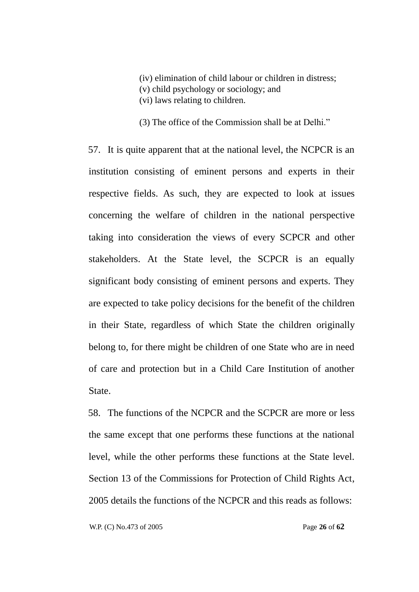(iv) elimination of child labour or children in distress; (v) child psychology or sociology; and (vi) laws relating to children.

 $(3)$  The office of the Commission shall be at Delhi."

57. It is quite apparent that at the national level, the NCPCR is an institution consisting of eminent persons and experts in their respective fields. As such, they are expected to look at issues concerning the welfare of children in the national perspective taking into consideration the views of every SCPCR and other stakeholders. At the State level, the SCPCR is an equally significant body consisting of eminent persons and experts. They are expected to take policy decisions for the benefit of the children in their State, regardless of which State the children originally belong to, for there might be children of one State who are in need of care and protection but in a Child Care Institution of another State.

58. The functions of the NCPCR and the SCPCR are more or less the same except that one performs these functions at the national level, while the other performs these functions at the State level. Section 13 of the Commissions for Protection of Child Rights Act, 2005 details the functions of the NCPCR and this reads as follows:

W.P. (C) No.473 of 2005 Page **26** of **62**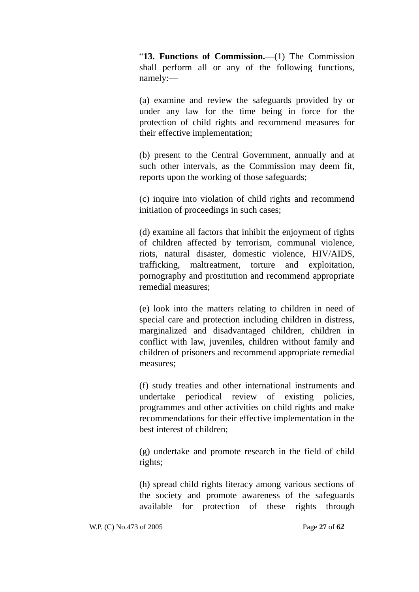―**13. Functions of Commission.—**(1) The Commission shall perform all or any of the following functions, namely:—

(a) examine and review the safeguards provided by or under any law for the time being in force for the protection of child rights and recommend measures for their effective implementation;

(b) present to the Central Government, annually and at such other intervals, as the Commission may deem fit, reports upon the working of those safeguards;

(c) inquire into violation of child rights and recommend initiation of proceedings in such cases;

(d) examine all factors that inhibit the enjoyment of rights of children affected by terrorism, communal violence, riots, natural disaster, domestic violence, HIV/AIDS, trafficking, maltreatment, torture and exploitation, pornography and prostitution and recommend appropriate remedial measures;

(e) look into the matters relating to children in need of special care and protection including children in distress, marginalized and disadvantaged children, children in conflict with law, juveniles, children without family and children of prisoners and recommend appropriate remedial measures;

(f) study treaties and other international instruments and undertake periodical review of existing policies, programmes and other activities on child rights and make recommendations for their effective implementation in the best interest of children;

(g) undertake and promote research in the field of child rights;

(h) spread child rights literacy among various sections of the society and promote awareness of the safeguards available for protection of these rights through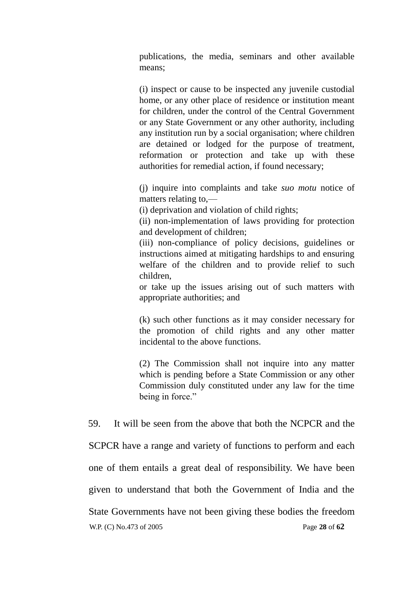publications, the media, seminars and other available means;

(i) inspect or cause to be inspected any juvenile custodial home, or any other place of residence or institution meant for children, under the control of the Central Government or any State Government or any other authority, including any institution run by a social organisation; where children are detained or lodged for the purpose of treatment, reformation or protection and take up with these authorities for remedial action, if found necessary;

(j) inquire into complaints and take *suo motu* notice of matters relating to,—

(i) deprivation and violation of child rights;

(ii) non-implementation of laws providing for protection and development of children;

(iii) non-compliance of policy decisions, guidelines or instructions aimed at mitigating hardships to and ensuring welfare of the children and to provide relief to such children,

or take up the issues arising out of such matters with appropriate authorities; and

(k) such other functions as it may consider necessary for the promotion of child rights and any other matter incidental to the above functions.

(2) The Commission shall not inquire into any matter which is pending before a State Commission or any other Commission duly constituted under any law for the time being in force."

59. It will be seen from the above that both the NCPCR and the

 W.P. (C) No.473 of 2005 Page **28** of **62** SCPCR have a range and variety of functions to perform and each one of them entails a great deal of responsibility. We have been given to understand that both the Government of India and the State Governments have not been giving these bodies the freedom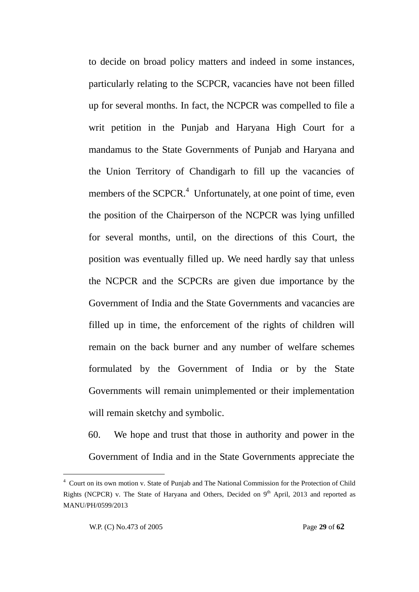to decide on broad policy matters and indeed in some instances, particularly relating to the SCPCR, vacancies have not been filled up for several months. In fact, the NCPCR was compelled to file a writ petition in the Punjab and Haryana High Court for a mandamus to the State Governments of Punjab and Haryana and the Union Territory of Chandigarh to fill up the vacancies of members of the SCPCR.<sup>4</sup> Unfortunately, at one point of time, even the position of the Chairperson of the NCPCR was lying unfilled for several months, until, on the directions of this Court, the position was eventually filled up. We need hardly say that unless the NCPCR and the SCPCRs are given due importance by the Government of India and the State Governments and vacancies are filled up in time, the enforcement of the rights of children will remain on the back burner and any number of welfare schemes formulated by the Government of India or by the State Governments will remain unimplemented or their implementation will remain sketchy and symbolic.

60. We hope and trust that those in authority and power in the Government of India and in the State Governments appreciate the

-

<sup>4</sup> Court on its own motion v. State of Punjab and The National Commission for the Protection of Child Rights (NCPCR) v. The State of Haryana and Others, Decided on  $9<sup>th</sup>$  April, 2013 and reported as MANU/PH/0599/2013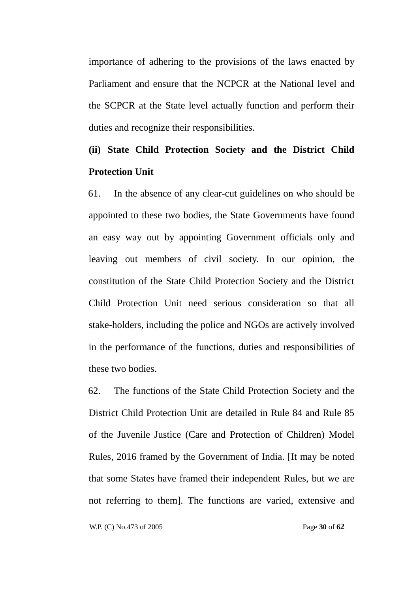importance of adhering to the provisions of the laws enacted by Parliament and ensure that the NCPCR at the National level and the SCPCR at the State level actually function and perform their duties and recognize their responsibilities.

## **(ii) State Child Protection Society and the District Child Protection Unit**

61. In the absence of any clear-cut guidelines on who should be appointed to these two bodies, the State Governments have found an easy way out by appointing Government officials only and leaving out members of civil society. In our opinion, the constitution of the State Child Protection Society and the District Child Protection Unit need serious consideration so that all stake-holders, including the police and NGOs are actively involved in the performance of the functions, duties and responsibilities of these two bodies.

62. The functions of the State Child Protection Society and the District Child Protection Unit are detailed in Rule 84 and Rule 85 of the Juvenile Justice (Care and Protection of Children) Model Rules, 2016 framed by the Government of India. [It may be noted that some States have framed their independent Rules, but we are not referring to them]. The functions are varied, extensive and

W.P. (C) No.473 of 2005 Page **30** of **62**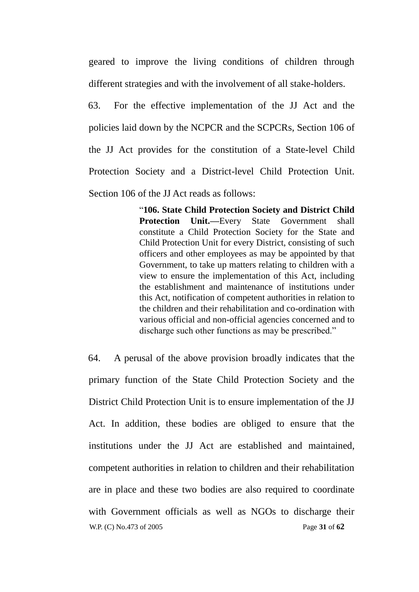geared to improve the living conditions of children through different strategies and with the involvement of all stake-holders.

63. For the effective implementation of the JJ Act and the policies laid down by the NCPCR and the SCPCRs, Section 106 of the JJ Act provides for the constitution of a State-level Child Protection Society and a District-level Child Protection Unit. Section 106 of the JJ Act reads as follows:

> ―**106. State Child Protection Society and District Child Protection Unit.—**Every State Government shall constitute a Child Protection Society for the State and Child Protection Unit for every District, consisting of such officers and other employees as may be appointed by that Government, to take up matters relating to children with a view to ensure the implementation of this Act, including the establishment and maintenance of institutions under this Act, notification of competent authorities in relation to the children and their rehabilitation and co-ordination with various official and non-official agencies concerned and to discharge such other functions as may be prescribed."

 W.P. (C) No.473 of 2005 Page **31** of **62** 64. A perusal of the above provision broadly indicates that the primary function of the State Child Protection Society and the District Child Protection Unit is to ensure implementation of the JJ Act. In addition, these bodies are obliged to ensure that the institutions under the JJ Act are established and maintained, competent authorities in relation to children and their rehabilitation are in place and these two bodies are also required to coordinate with Government officials as well as NGOs to discharge their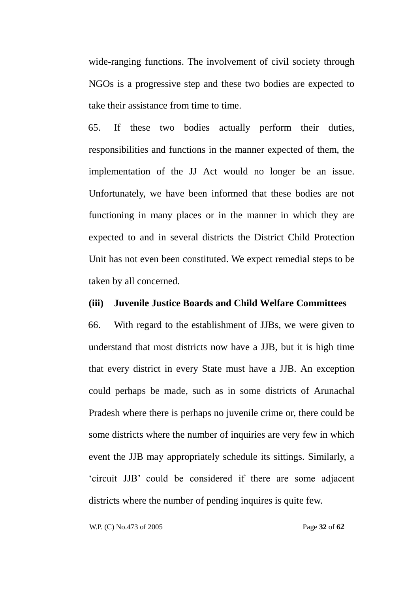wide-ranging functions. The involvement of civil society through NGOs is a progressive step and these two bodies are expected to take their assistance from time to time.

65. If these two bodies actually perform their duties, responsibilities and functions in the manner expected of them, the implementation of the JJ Act would no longer be an issue. Unfortunately, we have been informed that these bodies are not functioning in many places or in the manner in which they are expected to and in several districts the District Child Protection Unit has not even been constituted. We expect remedial steps to be taken by all concerned.

### **(iii) Juvenile Justice Boards and Child Welfare Committees**

66. With regard to the establishment of JJBs, we were given to understand that most districts now have a JJB, but it is high time that every district in every State must have a JJB. An exception could perhaps be made, such as in some districts of Arunachal Pradesh where there is perhaps no juvenile crime or, there could be some districts where the number of inquiries are very few in which event the JJB may appropriately schedule its sittings. Similarly, a ‗circuit JJB' could be considered if there are some adjacent districts where the number of pending inquires is quite few.

W.P. (C) No.473 of 2005 Page **32** of **62**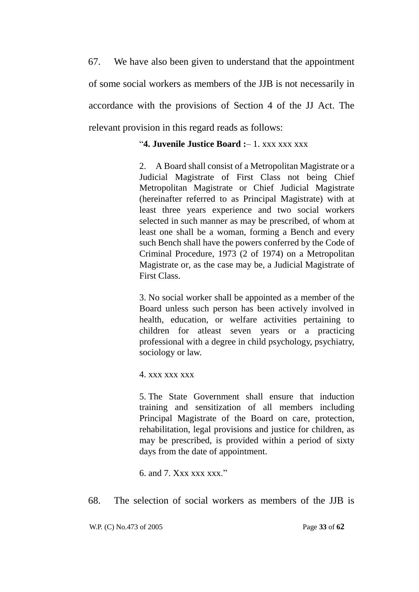67. We have also been given to understand that the appointment of some social workers as members of the JJB is not necessarily in accordance with the provisions of Section 4 of the JJ Act. The relevant provision in this regard reads as follows:

### ―**4. Juvenile Justice Board :**– 1. xxx xxx xxx

2. A Board shall consist of a Metropolitan Magistrate or a Judicial Magistrate of First Class not being Chief Metropolitan Magistrate or Chief Judicial Magistrate (hereinafter referred to as Principal Magistrate) with at least three years experience and two social workers selected in such manner as may be prescribed, of whom at least one shall be a woman, forming a Bench and every such Bench shall have the powers conferred by the Code of Criminal Procedure, 1973 (2 of 1974) on a Metropolitan Magistrate or, as the case may be, a Judicial Magistrate of First Class.

3. No social worker shall be appointed as a member of the Board unless such person has been actively involved in health, education, or welfare activities pertaining to children for atleast seven years or a practicing professional with a degree in child psychology, psychiatry, sociology or law.

4. xxx xxx xxx

5. The State Government shall ensure that induction training and sensitization of all members including Principal Magistrate of the Board on care, protection, rehabilitation, legal provisions and justice for children, as may be prescribed, is provided within a period of sixty days from the date of appointment.

6. and 7.  $Xxx$   $xxx$   $xxx$ ."

68. The selection of social workers as members of the JJB is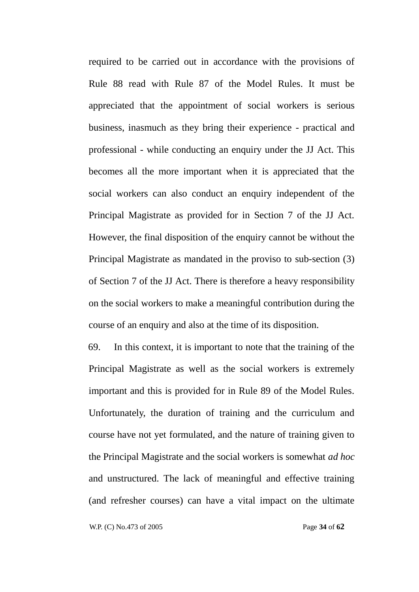required to be carried out in accordance with the provisions of Rule 88 read with Rule 87 of the Model Rules. It must be appreciated that the appointment of social workers is serious business, inasmuch as they bring their experience - practical and professional - while conducting an enquiry under the JJ Act. This becomes all the more important when it is appreciated that the social workers can also conduct an enquiry independent of the Principal Magistrate as provided for in Section 7 of the JJ Act. However, the final disposition of the enquiry cannot be without the Principal Magistrate as mandated in the proviso to sub-section (3) of Section 7 of the JJ Act. There is therefore a heavy responsibility on the social workers to make a meaningful contribution during the course of an enquiry and also at the time of its disposition.

69. In this context, it is important to note that the training of the Principal Magistrate as well as the social workers is extremely important and this is provided for in Rule 89 of the Model Rules. Unfortunately, the duration of training and the curriculum and course have not yet formulated, and the nature of training given to the Principal Magistrate and the social workers is somewhat *ad hoc* and unstructured. The lack of meaningful and effective training (and refresher courses) can have a vital impact on the ultimate

W.P. (C) No.473 of 2005 Page **34** of **62**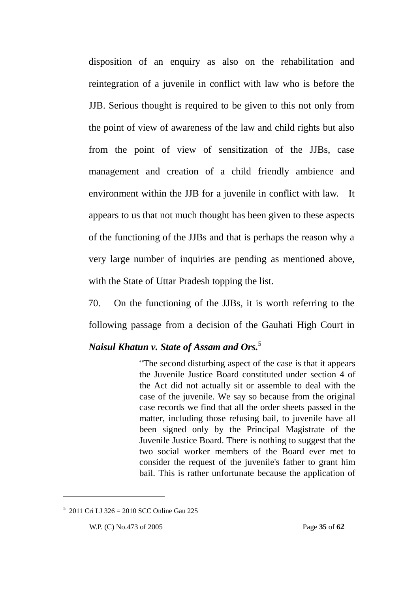disposition of an enquiry as also on the rehabilitation and reintegration of a juvenile in conflict with law who is before the JJB. Serious thought is required to be given to this not only from the point of view of awareness of the law and child rights but also from the point of view of sensitization of the JJBs, case management and creation of a child friendly ambience and environment within the JJB for a juvenile in conflict with law. It appears to us that not much thought has been given to these aspects of the functioning of the JJBs and that is perhaps the reason why a very large number of inquiries are pending as mentioned above, with the State of Uttar Pradesh topping the list.

70. On the functioning of the JJBs, it is worth referring to the following passage from a decision of the Gauhati High Court in

### *Naisul Khatun v. State of Assam and Ors.*<sup>5</sup>

―The second disturbing aspect of the case is that it appears the Juvenile Justice Board constituted under section 4 of the Act did not actually sit or assemble to deal with the case of the juvenile. We say so because from the original case records we find that all the order sheets passed in the matter, including those refusing bail, to juvenile have all been signed only by the Principal Magistrate of the Juvenile Justice Board. There is nothing to suggest that the two social worker members of the Board ever met to consider the request of the juvenile's father to grant him bail. This is rather unfortunate because the application of

<u>.</u>

<sup>5</sup> 2011 Cri LJ 326 = 2010 SCC Online Gau 225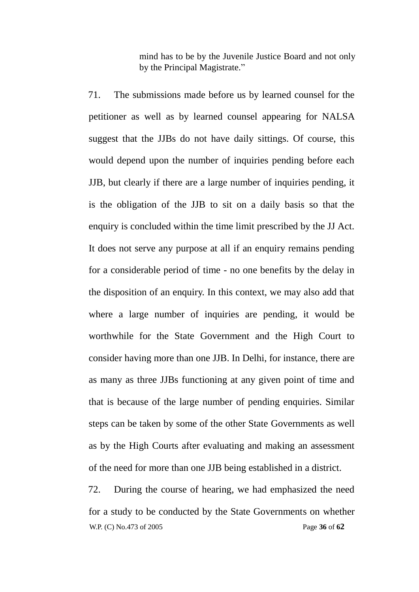mind has to be by the Juvenile Justice Board and not only by the Principal Magistrate."

71. The submissions made before us by learned counsel for the petitioner as well as by learned counsel appearing for NALSA suggest that the JJBs do not have daily sittings. Of course, this would depend upon the number of inquiries pending before each JJB, but clearly if there are a large number of inquiries pending, it is the obligation of the JJB to sit on a daily basis so that the enquiry is concluded within the time limit prescribed by the JJ Act. It does not serve any purpose at all if an enquiry remains pending for a considerable period of time - no one benefits by the delay in the disposition of an enquiry. In this context, we may also add that where a large number of inquiries are pending, it would be worthwhile for the State Government and the High Court to consider having more than one JJB. In Delhi, for instance, there are as many as three JJBs functioning at any given point of time and that is because of the large number of pending enquiries. Similar steps can be taken by some of the other State Governments as well as by the High Courts after evaluating and making an assessment of the need for more than one JJB being established in a district.

 W.P. (C) No.473 of 2005 Page **36** of **62** 72. During the course of hearing, we had emphasized the need for a study to be conducted by the State Governments on whether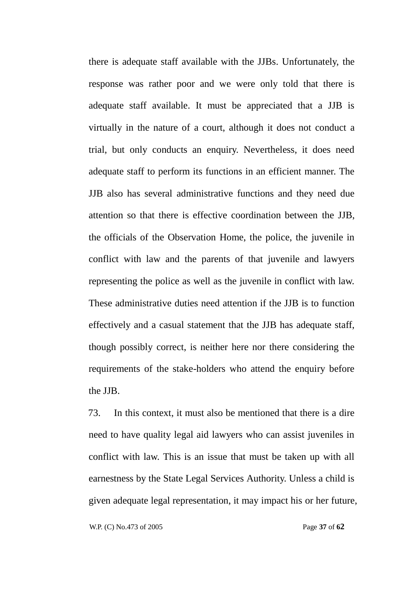there is adequate staff available with the JJBs. Unfortunately, the response was rather poor and we were only told that there is adequate staff available. It must be appreciated that a JJB is virtually in the nature of a court, although it does not conduct a trial, but only conducts an enquiry. Nevertheless, it does need adequate staff to perform its functions in an efficient manner. The JJB also has several administrative functions and they need due attention so that there is effective coordination between the JJB, the officials of the Observation Home, the police, the juvenile in conflict with law and the parents of that juvenile and lawyers representing the police as well as the juvenile in conflict with law. These administrative duties need attention if the JJB is to function effectively and a casual statement that the JJB has adequate staff, though possibly correct, is neither here nor there considering the requirements of the stake-holders who attend the enquiry before the JJB.

73. In this context, it must also be mentioned that there is a dire need to have quality legal aid lawyers who can assist juveniles in conflict with law. This is an issue that must be taken up with all earnestness by the State Legal Services Authority. Unless a child is given adequate legal representation, it may impact his or her future,

W.P. (C) No.473 of 2005 Page **37** of **62**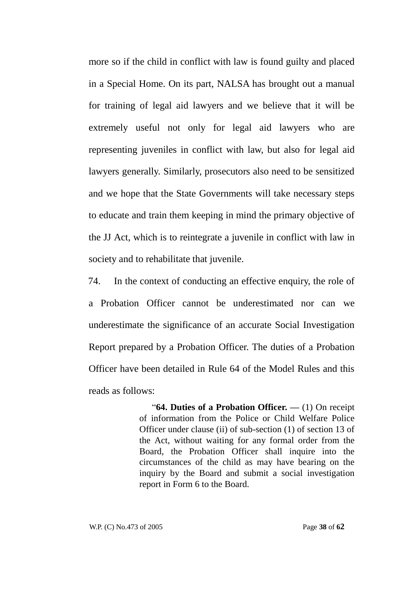more so if the child in conflict with law is found guilty and placed in a Special Home. On its part, NALSA has brought out a manual for training of legal aid lawyers and we believe that it will be extremely useful not only for legal aid lawyers who are representing juveniles in conflict with law, but also for legal aid lawyers generally. Similarly, prosecutors also need to be sensitized and we hope that the State Governments will take necessary steps to educate and train them keeping in mind the primary objective of the JJ Act, which is to reintegrate a juvenile in conflict with law in society and to rehabilitate that juvenile.

74. In the context of conducting an effective enquiry, the role of a Probation Officer cannot be underestimated nor can we underestimate the significance of an accurate Social Investigation Report prepared by a Probation Officer. The duties of a Probation Officer have been detailed in Rule 64 of the Model Rules and this reads as follows:

> ―**64. Duties of a Probation Officer. —** (1) On receipt of information from the Police or Child Welfare Police Officer under clause (ii) of sub-section (1) of section 13 of the Act, without waiting for any formal order from the Board, the Probation Officer shall inquire into the circumstances of the child as may have bearing on the inquiry by the Board and submit a social investigation report in Form 6 to the Board.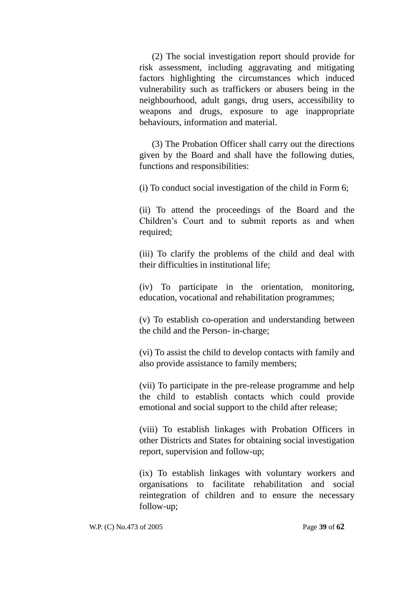(2) The social investigation report should provide for risk assessment, including aggravating and mitigating factors highlighting the circumstances which induced vulnerability such as traffickers or abusers being in the neighbourhood, adult gangs, drug users, accessibility to weapons and drugs, exposure to age inappropriate behaviours, information and material.

(3) The Probation Officer shall carry out the directions given by the Board and shall have the following duties, functions and responsibilities:

(i) To conduct social investigation of the child in Form 6;

(ii) To attend the proceedings of the Board and the Children's Court and to submit reports as and when required;

(iii) To clarify the problems of the child and deal with their difficulties in institutional life;

(iv) To participate in the orientation, monitoring, education, vocational and rehabilitation programmes;

(v) To establish co-operation and understanding between the child and the Person- in-charge;

(vi) To assist the child to develop contacts with family and also provide assistance to family members;

(vii) To participate in the pre-release programme and help the child to establish contacts which could provide emotional and social support to the child after release;

(viii) To establish linkages with Probation Officers in other Districts and States for obtaining social investigation report, supervision and follow-up;

(ix) To establish linkages with voluntary workers and organisations to facilitate rehabilitation and social reintegration of children and to ensure the necessary follow-up;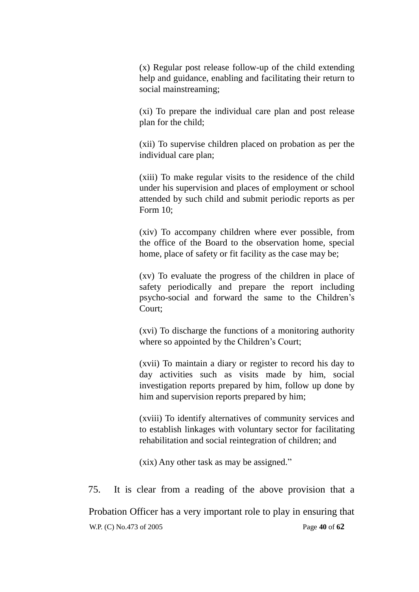(x) Regular post release follow-up of the child extending help and guidance, enabling and facilitating their return to social mainstreaming;

(xi) To prepare the individual care plan and post release plan for the child;

(xii) To supervise children placed on probation as per the individual care plan;

(xiii) To make regular visits to the residence of the child under his supervision and places of employment or school attended by such child and submit periodic reports as per Form 10;

(xiv) To accompany children where ever possible, from the office of the Board to the observation home, special home, place of safety or fit facility as the case may be;

(xv) To evaluate the progress of the children in place of safety periodically and prepare the report including psycho-social and forward the same to the Children's Court;

(xvi) To discharge the functions of a monitoring authority where so appointed by the Children's Court;

(xvii) To maintain a diary or register to record his day to day activities such as visits made by him, social investigation reports prepared by him, follow up done by him and supervision reports prepared by him;

(xviii) To identify alternatives of community services and to establish linkages with voluntary sector for facilitating rehabilitation and social reintegration of children; and

(xix) Any other task as may be assigned."

 W.P. (C) No.473 of 2005 Page **40** of **62** 75. It is clear from a reading of the above provision that a Probation Officer has a very important role to play in ensuring that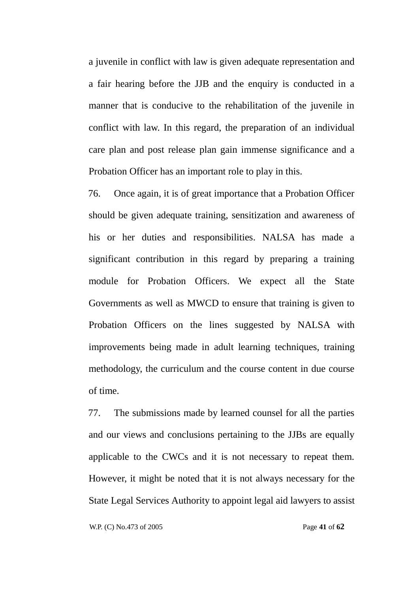a juvenile in conflict with law is given adequate representation and a fair hearing before the JJB and the enquiry is conducted in a manner that is conducive to the rehabilitation of the juvenile in conflict with law. In this regard, the preparation of an individual care plan and post release plan gain immense significance and a Probation Officer has an important role to play in this.

76. Once again, it is of great importance that a Probation Officer should be given adequate training, sensitization and awareness of his or her duties and responsibilities. NALSA has made a significant contribution in this regard by preparing a training module for Probation Officers. We expect all the State Governments as well as MWCD to ensure that training is given to Probation Officers on the lines suggested by NALSA with improvements being made in adult learning techniques, training methodology, the curriculum and the course content in due course of time.

77. The submissions made by learned counsel for all the parties and our views and conclusions pertaining to the JJBs are equally applicable to the CWCs and it is not necessary to repeat them. However, it might be noted that it is not always necessary for the State Legal Services Authority to appoint legal aid lawyers to assist

W.P. (C) No.473 of 2005 Page **41** of **62**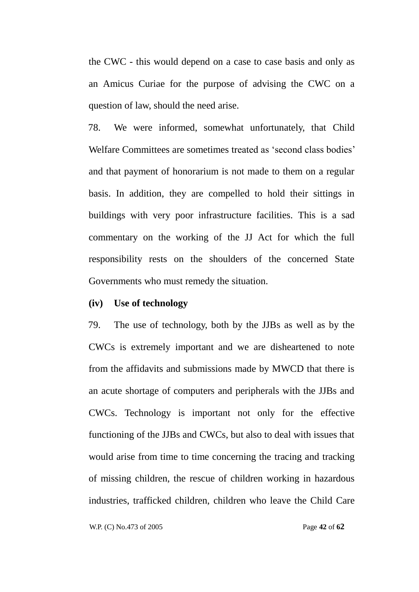the CWC - this would depend on a case to case basis and only as an Amicus Curiae for the purpose of advising the CWC on a question of law, should the need arise.

78. We were informed, somewhat unfortunately, that Child Welfare Committees are sometimes treated as 'second class bodies' and that payment of honorarium is not made to them on a regular basis. In addition, they are compelled to hold their sittings in buildings with very poor infrastructure facilities. This is a sad commentary on the working of the JJ Act for which the full responsibility rests on the shoulders of the concerned State Governments who must remedy the situation.

### **(iv) Use of technology**

79. The use of technology, both by the JJBs as well as by the CWCs is extremely important and we are disheartened to note from the affidavits and submissions made by MWCD that there is an acute shortage of computers and peripherals with the JJBs and CWCs. Technology is important not only for the effective functioning of the JJBs and CWCs, but also to deal with issues that would arise from time to time concerning the tracing and tracking of missing children, the rescue of children working in hazardous industries, trafficked children, children who leave the Child Care

W.P. (C) No.473 of 2005 Page **42** of **62**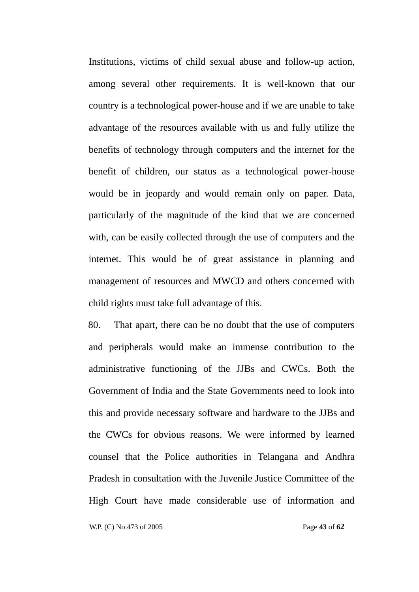Institutions, victims of child sexual abuse and follow-up action, among several other requirements. It is well-known that our country is a technological power-house and if we are unable to take advantage of the resources available with us and fully utilize the benefits of technology through computers and the internet for the benefit of children, our status as a technological power-house would be in jeopardy and would remain only on paper. Data, particularly of the magnitude of the kind that we are concerned with, can be easily collected through the use of computers and the internet. This would be of great assistance in planning and management of resources and MWCD and others concerned with child rights must take full advantage of this.

80. That apart, there can be no doubt that the use of computers and peripherals would make an immense contribution to the administrative functioning of the JJBs and CWCs. Both the Government of India and the State Governments need to look into this and provide necessary software and hardware to the JJBs and the CWCs for obvious reasons. We were informed by learned counsel that the Police authorities in Telangana and Andhra Pradesh in consultation with the Juvenile Justice Committee of the High Court have made considerable use of information and

W.P. (C) No.473 of 2005 Page **43** of **62**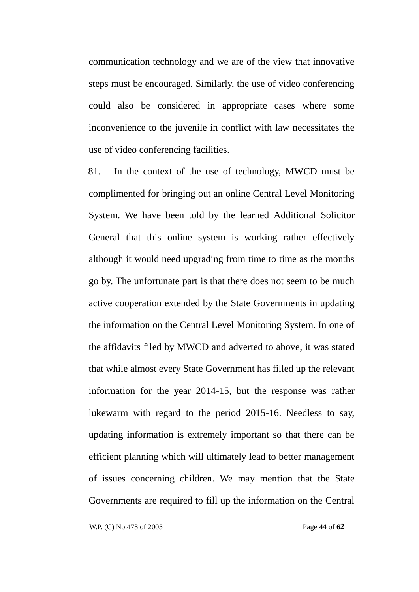communication technology and we are of the view that innovative steps must be encouraged. Similarly, the use of video conferencing could also be considered in appropriate cases where some inconvenience to the juvenile in conflict with law necessitates the use of video conferencing facilities.

81. In the context of the use of technology, MWCD must be complimented for bringing out an online Central Level Monitoring System. We have been told by the learned Additional Solicitor General that this online system is working rather effectively although it would need upgrading from time to time as the months go by. The unfortunate part is that there does not seem to be much active cooperation extended by the State Governments in updating the information on the Central Level Monitoring System. In one of the affidavits filed by MWCD and adverted to above, it was stated that while almost every State Government has filled up the relevant information for the year 2014-15, but the response was rather lukewarm with regard to the period 2015-16. Needless to say, updating information is extremely important so that there can be efficient planning which will ultimately lead to better management of issues concerning children. We may mention that the State Governments are required to fill up the information on the Central

W.P. (C) No.473 of 2005 Page **44** of **62**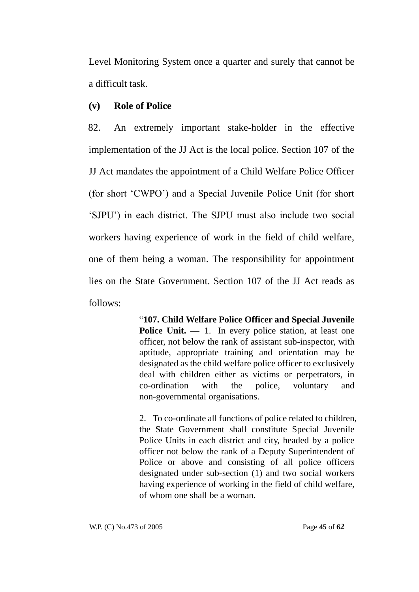Level Monitoring System once a quarter and surely that cannot be a difficult task.

### **(v) Role of Police**

82. An extremely important stake-holder in the effective implementation of the JJ Act is the local police. Section 107 of the JJ Act mandates the appointment of a Child Welfare Police Officer (for short ‗CWPO') and a Special Juvenile Police Unit (for short ‗SJPU') in each district. The SJPU must also include two social workers having experience of work in the field of child welfare, one of them being a woman. The responsibility for appointment lies on the State Government. Section 107 of the JJ Act reads as follows:

> ―**107. Child Welfare Police Officer and Special Juvenile Police Unit. — 1.** In every police station, at least one officer, not below the rank of assistant sub-inspector, with aptitude, appropriate training and orientation may be designated as the child welfare police officer to exclusively deal with children either as victims or perpetrators, in co-ordination with the police, voluntary and non-governmental organisations.

> 2. To co-ordinate all functions of police related to children, the State Government shall constitute Special Juvenile Police Units in each district and city, headed by a police officer not below the rank of a Deputy Superintendent of Police or above and consisting of all police officers designated under sub-section (1) and two social workers having experience of working in the field of child welfare, of whom one shall be a woman.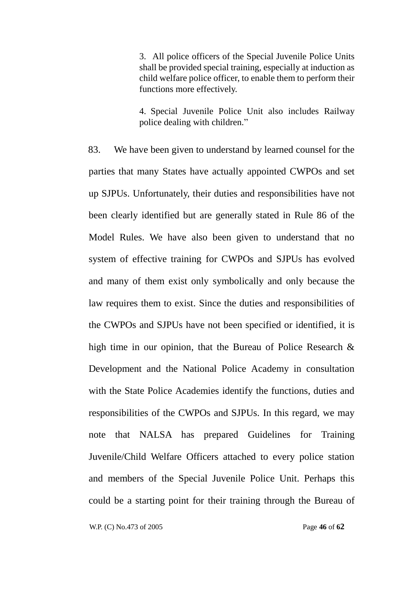3. All police officers of the Special Juvenile Police Units shall be provided special training, especially at induction as child welfare police officer, to enable them to perform their functions more effectively.

4. Special Juvenile Police Unit also includes Railway police dealing with children."

83. We have been given to understand by learned counsel for the parties that many States have actually appointed CWPOs and set up SJPUs. Unfortunately, their duties and responsibilities have not been clearly identified but are generally stated in Rule 86 of the Model Rules. We have also been given to understand that no system of effective training for CWPOs and SJPUs has evolved and many of them exist only symbolically and only because the law requires them to exist. Since the duties and responsibilities of the CWPOs and SJPUs have not been specified or identified, it is high time in our opinion, that the Bureau of Police Research & Development and the National Police Academy in consultation with the State Police Academies identify the functions, duties and responsibilities of the CWPOs and SJPUs. In this regard, we may note that NALSA has prepared Guidelines for Training Juvenile/Child Welfare Officers attached to every police station and members of the Special Juvenile Police Unit. Perhaps this could be a starting point for their training through the Bureau of

W.P. (C) No.473 of 2005 Page **46** of **62**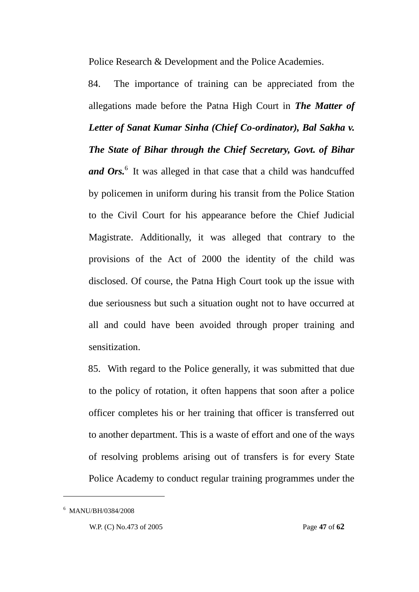Police Research & Development and the Police Academies.

84. The importance of training can be appreciated from the allegations made before the Patna High Court in *The Matter of Letter of Sanat Kumar Sinha (Chief Co-ordinator), Bal Sakha v. The State of Bihar through the Chief Secretary, Govt. of Bihar*  and Ors.<sup>6</sup> It was alleged in that case that a child was handcuffed by policemen in uniform during his transit from the Police Station to the Civil Court for his appearance before the Chief Judicial Magistrate. Additionally, it was alleged that contrary to the provisions of the Act of 2000 the identity of the child was disclosed. Of course, the Patna High Court took up the issue with due seriousness but such a situation ought not to have occurred at all and could have been avoided through proper training and sensitization.

85. With regard to the Police generally, it was submitted that due to the policy of rotation, it often happens that soon after a police officer completes his or her training that officer is transferred out to another department. This is a waste of effort and one of the ways of resolving problems arising out of transfers is for every State Police Academy to conduct regular training programmes under the

<u>.</u>

<sup>6</sup> MANU/BH/0384/2008

W.P. (C) No.473 of 2005 Page **47** of **62**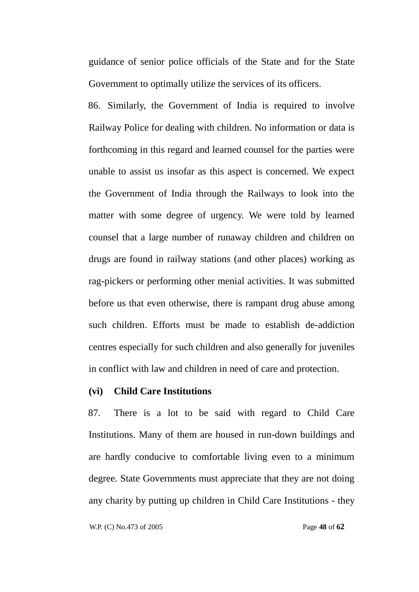guidance of senior police officials of the State and for the State Government to optimally utilize the services of its officers.

86. Similarly, the Government of India is required to involve Railway Police for dealing with children. No information or data is forthcoming in this regard and learned counsel for the parties were unable to assist us insofar as this aspect is concerned. We expect the Government of India through the Railways to look into the matter with some degree of urgency. We were told by learned counsel that a large number of runaway children and children on drugs are found in railway stations (and other places) working as rag-pickers or performing other menial activities. It was submitted before us that even otherwise, there is rampant drug abuse among such children. Efforts must be made to establish de-addiction centres especially for such children and also generally for juveniles in conflict with law and children in need of care and protection.

### **(vi) Child Care Institutions**

87. There is a lot to be said with regard to Child Care Institutions. Many of them are housed in run-down buildings and are hardly conducive to comfortable living even to a minimum degree. State Governments must appreciate that they are not doing any charity by putting up children in Child Care Institutions - they

W.P. (C) No.473 of 2005 Page **48** of **62**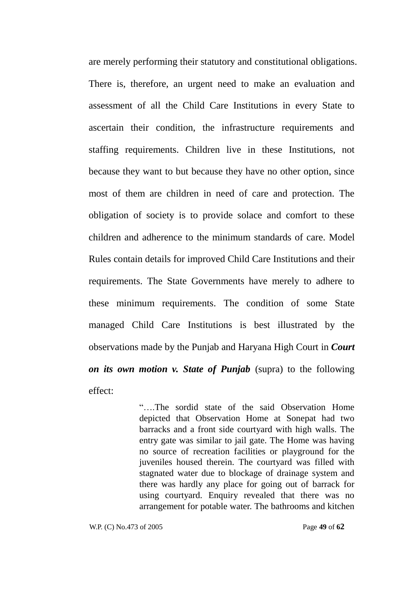are merely performing their statutory and constitutional obligations. There is, therefore, an urgent need to make an evaluation and assessment of all the Child Care Institutions in every State to ascertain their condition, the infrastructure requirements and staffing requirements. Children live in these Institutions, not because they want to but because they have no other option, since most of them are children in need of care and protection. The obligation of society is to provide solace and comfort to these children and adherence to the minimum standards of care. Model Rules contain details for improved Child Care Institutions and their requirements. The State Governments have merely to adhere to these minimum requirements. The condition of some State managed Child Care Institutions is best illustrated by the observations made by the Punjab and Haryana High Court in *Court on its own motion v. State of Punjab* (supra) to the following effect:

> ―….The sordid state of the said Observation Home depicted that Observation Home at Sonepat had two barracks and a front side courtyard with high walls. The entry gate was similar to jail gate. The Home was having no source of recreation facilities or playground for the juveniles housed therein. The courtyard was filled with stagnated water due to blockage of drainage system and there was hardly any place for going out of barrack for using courtyard. Enquiry revealed that there was no arrangement for potable water. The bathrooms and kitchen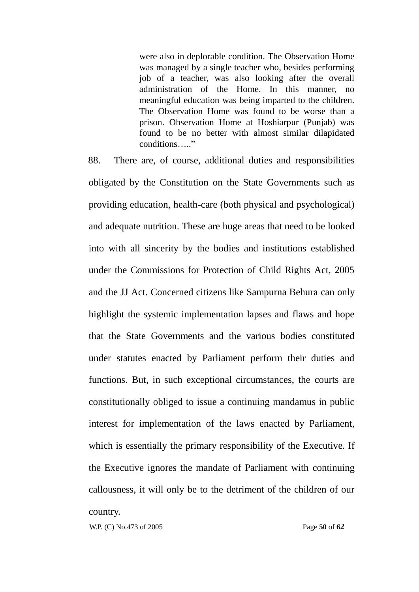were also in deplorable condition. The Observation Home was managed by a single teacher who, besides performing job of a teacher, was also looking after the overall administration of the Home. In this manner, no meaningful education was being imparted to the children. The Observation Home was found to be worse than a prison. Observation Home at Hoshiarpur (Punjab) was found to be no better with almost similar dilapidated conditions ...

88. There are, of course, additional duties and responsibilities obligated by the Constitution on the State Governments such as providing education, health-care (both physical and psychological) and adequate nutrition. These are huge areas that need to be looked into with all sincerity by the bodies and institutions established under the Commissions for Protection of Child Rights Act, 2005 and the JJ Act. Concerned citizens like Sampurna Behura can only highlight the systemic implementation lapses and flaws and hope that the State Governments and the various bodies constituted under statutes enacted by Parliament perform their duties and functions. But, in such exceptional circumstances, the courts are constitutionally obliged to issue a continuing mandamus in public interest for implementation of the laws enacted by Parliament, which is essentially the primary responsibility of the Executive. If the Executive ignores the mandate of Parliament with continuing callousness, it will only be to the detriment of the children of our country.

W.P. (C) No.473 of 2005 Page **50** of **62**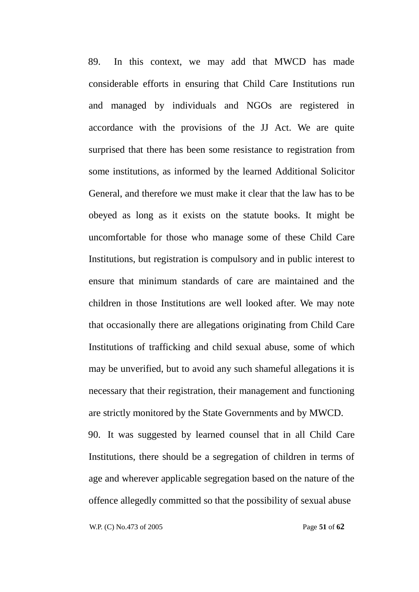89. In this context, we may add that MWCD has made considerable efforts in ensuring that Child Care Institutions run and managed by individuals and NGOs are registered in accordance with the provisions of the JJ Act. We are quite surprised that there has been some resistance to registration from some institutions, as informed by the learned Additional Solicitor General, and therefore we must make it clear that the law has to be obeyed as long as it exists on the statute books. It might be uncomfortable for those who manage some of these Child Care Institutions, but registration is compulsory and in public interest to ensure that minimum standards of care are maintained and the children in those Institutions are well looked after. We may note that occasionally there are allegations originating from Child Care Institutions of trafficking and child sexual abuse, some of which may be unverified, but to avoid any such shameful allegations it is necessary that their registration, their management and functioning are strictly monitored by the State Governments and by MWCD.

90. It was suggested by learned counsel that in all Child Care Institutions, there should be a segregation of children in terms of age and wherever applicable segregation based on the nature of the offence allegedly committed so that the possibility of sexual abuse

W.P. (C) No.473 of 2005 Page **51** of **62**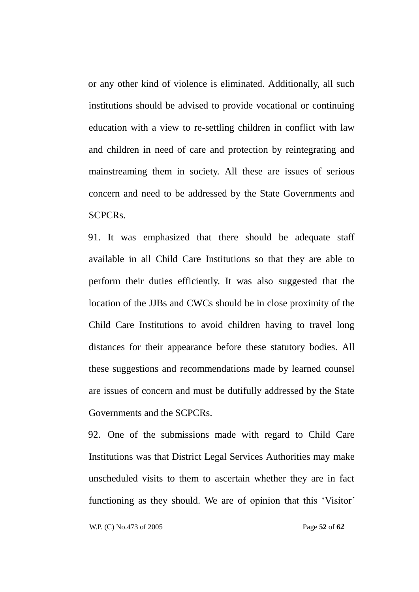or any other kind of violence is eliminated. Additionally, all such institutions should be advised to provide vocational or continuing education with a view to re-settling children in conflict with law and children in need of care and protection by reintegrating and mainstreaming them in society. All these are issues of serious concern and need to be addressed by the State Governments and SCPCRs.

91. It was emphasized that there should be adequate staff available in all Child Care Institutions so that they are able to perform their duties efficiently. It was also suggested that the location of the JJBs and CWCs should be in close proximity of the Child Care Institutions to avoid children having to travel long distances for their appearance before these statutory bodies. All these suggestions and recommendations made by learned counsel are issues of concern and must be dutifully addressed by the State Governments and the SCPCRs.

92. One of the submissions made with regard to Child Care Institutions was that District Legal Services Authorities may make unscheduled visits to them to ascertain whether they are in fact functioning as they should. We are of opinion that this 'Visitor'

W.P. (C) No.473 of 2005 Page **52** of **62**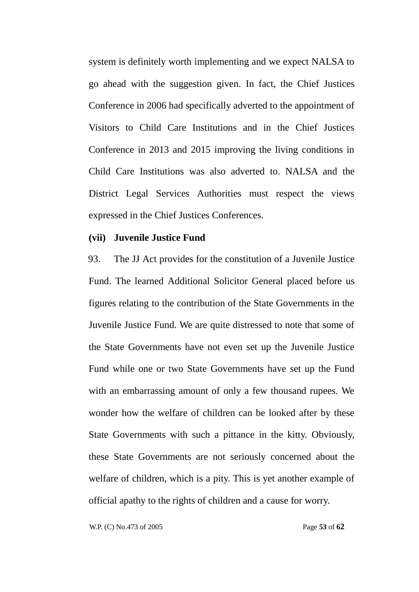system is definitely worth implementing and we expect NALSA to go ahead with the suggestion given. In fact, the Chief Justices Conference in 2006 had specifically adverted to the appointment of Visitors to Child Care Institutions and in the Chief Justices Conference in 2013 and 2015 improving the living conditions in Child Care Institutions was also adverted to. NALSA and the District Legal Services Authorities must respect the views expressed in the Chief Justices Conferences.

### **(vii) Juvenile Justice Fund**

93. The JJ Act provides for the constitution of a Juvenile Justice Fund. The learned Additional Solicitor General placed before us figures relating to the contribution of the State Governments in the Juvenile Justice Fund. We are quite distressed to note that some of the State Governments have not even set up the Juvenile Justice Fund while one or two State Governments have set up the Fund with an embarrassing amount of only a few thousand rupees. We wonder how the welfare of children can be looked after by these State Governments with such a pittance in the kitty. Obviously, these State Governments are not seriously concerned about the welfare of children, which is a pity. This is yet another example of official apathy to the rights of children and a cause for worry.

W.P. (C) No.473 of 2005 Page **53** of **62**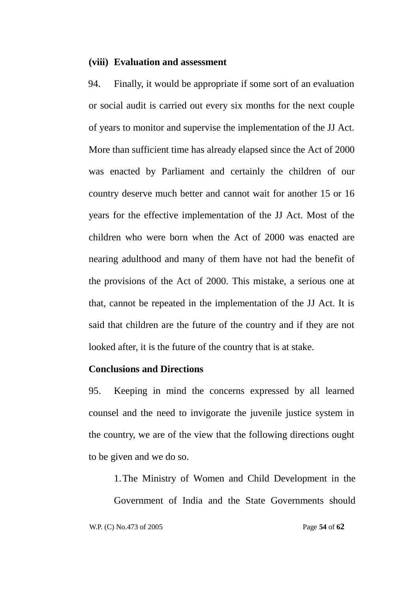### **(viii) Evaluation and assessment**

94. Finally, it would be appropriate if some sort of an evaluation or social audit is carried out every six months for the next couple of years to monitor and supervise the implementation of the JJ Act. More than sufficient time has already elapsed since the Act of 2000 was enacted by Parliament and certainly the children of our country deserve much better and cannot wait for another 15 or 16 years for the effective implementation of the JJ Act. Most of the children who were born when the Act of 2000 was enacted are nearing adulthood and many of them have not had the benefit of the provisions of the Act of 2000. This mistake, a serious one at that, cannot be repeated in the implementation of the JJ Act. It is said that children are the future of the country and if they are not looked after, it is the future of the country that is at stake.

### **Conclusions and Directions**

95. Keeping in mind the concerns expressed by all learned counsel and the need to invigorate the juvenile justice system in the country, we are of the view that the following directions ought to be given and we do so.

- 1.The Ministry of Women and Child Development in the
- Government of India and the State Governments should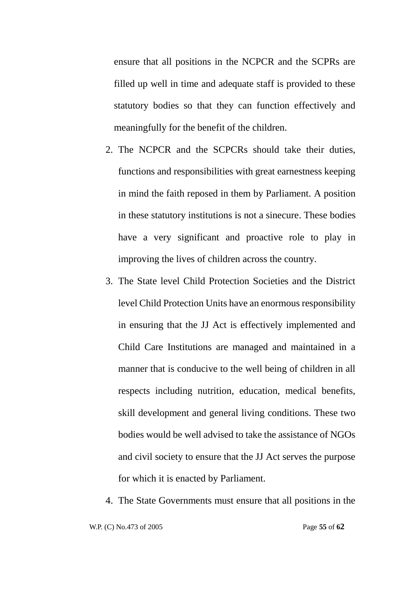ensure that all positions in the NCPCR and the SCPRs are filled up well in time and adequate staff is provided to these statutory bodies so that they can function effectively and meaningfully for the benefit of the children.

- 2. The NCPCR and the SCPCRs should take their duties, functions and responsibilities with great earnestness keeping in mind the faith reposed in them by Parliament. A position in these statutory institutions is not a sinecure. These bodies have a very significant and proactive role to play in improving the lives of children across the country.
- 3. The State level Child Protection Societies and the District level Child Protection Units have an enormous responsibility in ensuring that the JJ Act is effectively implemented and Child Care Institutions are managed and maintained in a manner that is conducive to the well being of children in all respects including nutrition, education, medical benefits, skill development and general living conditions. These two bodies would be well advised to take the assistance of NGOs and civil society to ensure that the JJ Act serves the purpose for which it is enacted by Parliament.
- 4. The State Governments must ensure that all positions in the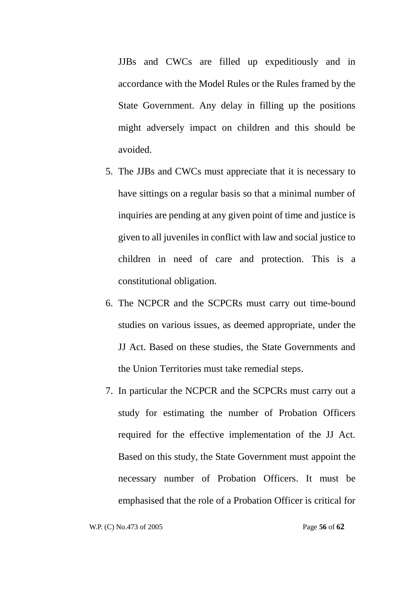JJBs and CWCs are filled up expeditiously and in accordance with the Model Rules or the Rules framed by the State Government. Any delay in filling up the positions might adversely impact on children and this should be avoided.

- 5. The JJBs and CWCs must appreciate that it is necessary to have sittings on a regular basis so that a minimal number of inquiries are pending at any given point of time and justice is given to all juveniles in conflict with law and social justice to children in need of care and protection. This is a constitutional obligation.
- 6. The NCPCR and the SCPCRs must carry out time-bound studies on various issues, as deemed appropriate, under the JJ Act. Based on these studies, the State Governments and the Union Territories must take remedial steps.
- 7. In particular the NCPCR and the SCPCRs must carry out a study for estimating the number of Probation Officers required for the effective implementation of the JJ Act. Based on this study, the State Government must appoint the necessary number of Probation Officers. It must be emphasised that the role of a Probation Officer is critical for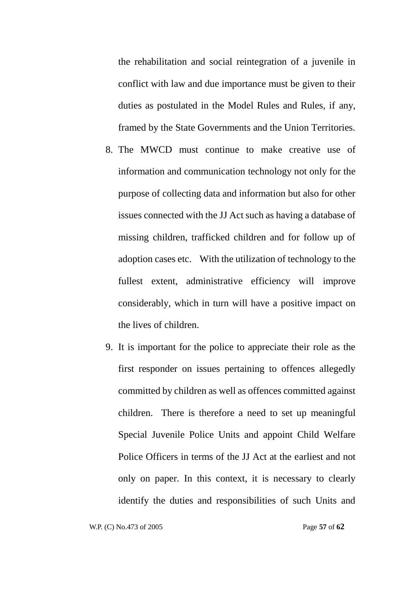the rehabilitation and social reintegration of a juvenile in conflict with law and due importance must be given to their duties as postulated in the Model Rules and Rules, if any, framed by the State Governments and the Union Territories.

- 8. The MWCD must continue to make creative use of information and communication technology not only for the purpose of collecting data and information but also for other issues connected with the JJ Act such as having a database of missing children, trafficked children and for follow up of adoption cases etc. With the utilization of technology to the fullest extent, administrative efficiency will improve considerably, which in turn will have a positive impact on the lives of children.
- 9. It is important for the police to appreciate their role as the first responder on issues pertaining to offences allegedly committed by children as well as offences committed against children. There is therefore a need to set up meaningful Special Juvenile Police Units and appoint Child Welfare Police Officers in terms of the JJ Act at the earliest and not only on paper. In this context, it is necessary to clearly identify the duties and responsibilities of such Units and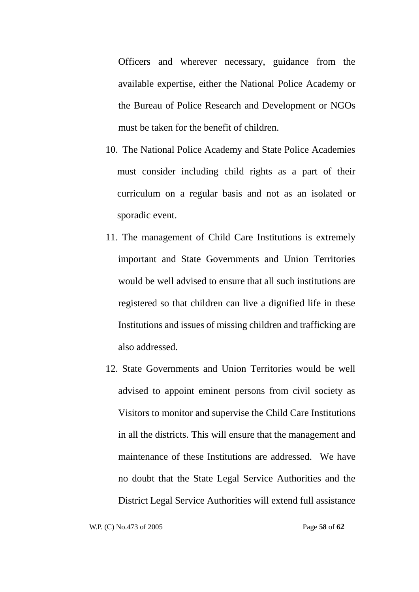Officers and wherever necessary, guidance from the available expertise, either the National Police Academy or the Bureau of Police Research and Development or NGOs must be taken for the benefit of children.

- 10. The National Police Academy and State Police Academies must consider including child rights as a part of their curriculum on a regular basis and not as an isolated or sporadic event.
- 11. The management of Child Care Institutions is extremely important and State Governments and Union Territories would be well advised to ensure that all such institutions are registered so that children can live a dignified life in these Institutions and issues of missing children and trafficking are also addressed.
- 12. State Governments and Union Territories would be well advised to appoint eminent persons from civil society as Visitors to monitor and supervise the Child Care Institutions in all the districts. This will ensure that the management and maintenance of these Institutions are addressed. We have no doubt that the State Legal Service Authorities and the District Legal Service Authorities will extend full assistance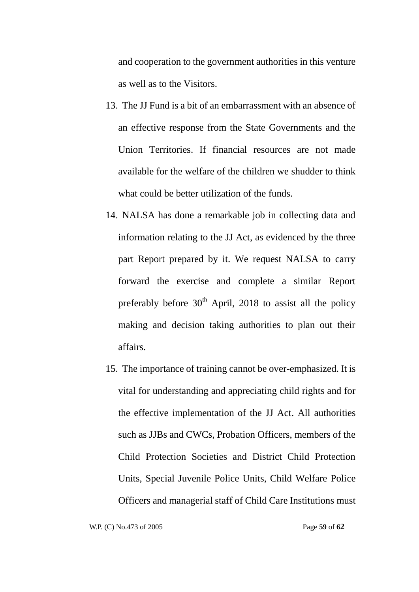and cooperation to the government authorities in this venture as well as to the Visitors.

- 13. The JJ Fund is a bit of an embarrassment with an absence of an effective response from the State Governments and the Union Territories. If financial resources are not made available for the welfare of the children we shudder to think what could be better utilization of the funds.
- 14. NALSA has done a remarkable job in collecting data and information relating to the JJ Act, as evidenced by the three part Report prepared by it. We request NALSA to carry forward the exercise and complete a similar Report preferably before  $30<sup>th</sup>$  April, 2018 to assist all the policy making and decision taking authorities to plan out their affairs.
- 15. The importance of training cannot be over-emphasized. It is vital for understanding and appreciating child rights and for the effective implementation of the JJ Act. All authorities such as JJBs and CWCs, Probation Officers, members of the Child Protection Societies and District Child Protection Units, Special Juvenile Police Units, Child Welfare Police Officers and managerial staff of Child Care Institutions must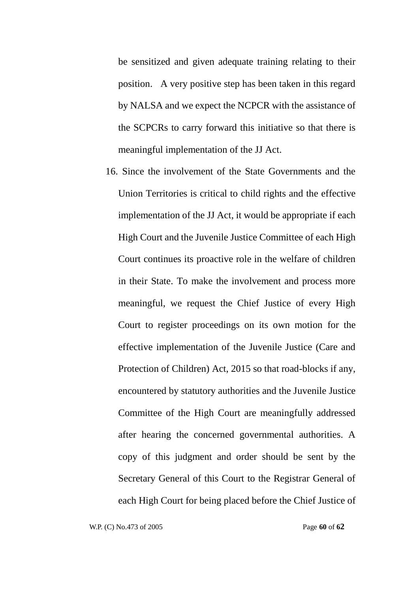be sensitized and given adequate training relating to their position. A very positive step has been taken in this regard by NALSA and we expect the NCPCR with the assistance of the SCPCRs to carry forward this initiative so that there is meaningful implementation of the JJ Act.

16. Since the involvement of the State Governments and the Union Territories is critical to child rights and the effective implementation of the JJ Act, it would be appropriate if each High Court and the Juvenile Justice Committee of each High Court continues its proactive role in the welfare of children in their State. To make the involvement and process more meaningful, we request the Chief Justice of every High Court to register proceedings on its own motion for the effective implementation of the Juvenile Justice (Care and Protection of Children) Act, 2015 so that road-blocks if any, encountered by statutory authorities and the Juvenile Justice Committee of the High Court are meaningfully addressed after hearing the concerned governmental authorities. A copy of this judgment and order should be sent by the Secretary General of this Court to the Registrar General of each High Court for being placed before the Chief Justice of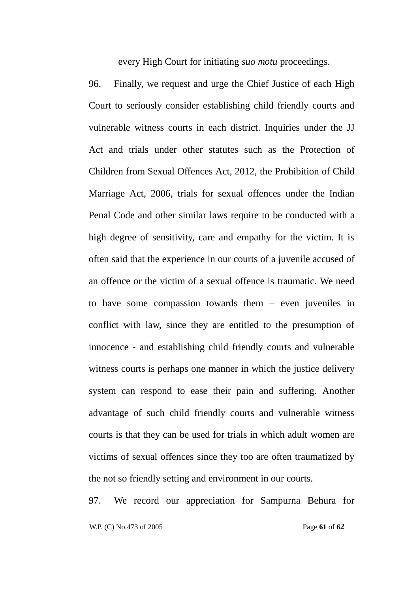every High Court for initiating *suo motu* proceedings.

96. Finally, we request and urge the Chief Justice of each High Court to seriously consider establishing child friendly courts and vulnerable witness courts in each district. Inquiries under the JJ Act and trials under other statutes such as the Protection of Children from Sexual Offences Act, 2012, the Prohibition of Child Marriage Act, 2006, trials for sexual offences under the Indian Penal Code and other similar laws require to be conducted with a high degree of sensitivity, care and empathy for the victim. It is often said that the experience in our courts of a juvenile accused of an offence or the victim of a sexual offence is traumatic. We need to have some compassion towards them – even juveniles in conflict with law, since they are entitled to the presumption of innocence - and establishing child friendly courts and vulnerable witness courts is perhaps one manner in which the justice delivery system can respond to ease their pain and suffering. Another advantage of such child friendly courts and vulnerable witness courts is that they can be used for trials in which adult women are victims of sexual offences since they too are often traumatized by the not so friendly setting and environment in our courts.

 W.P. (C) No.473 of 2005 Page **61** of **62** 97. We record our appreciation for Sampurna Behura for